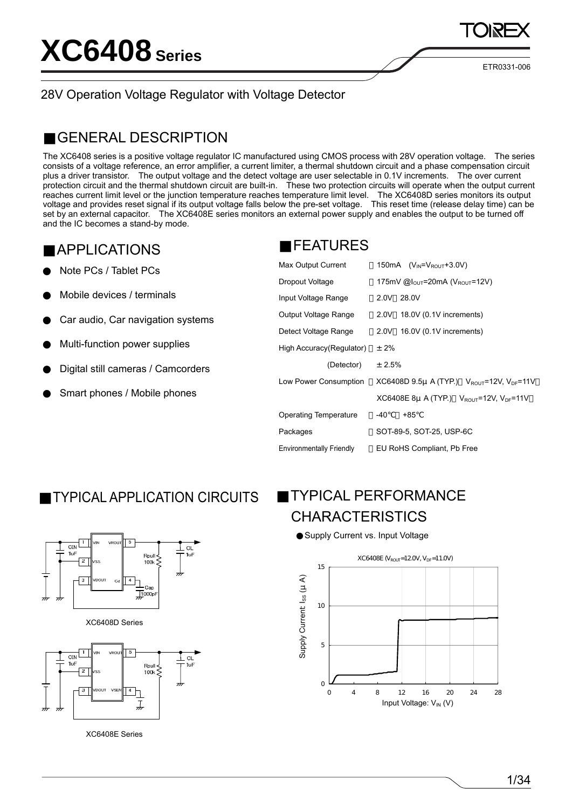ETR0331-006

#### 28V Operation Voltage Regulator with Voltage Detector

#### GENERAL DESCRIPTION

The XC6408 series is a positive voltage regulator IC manufactured using CMOS process with 28V operation voltage. The series consists of a voltage reference, an error amplifier, a current limiter, a thermal shutdown circuit and a phase compensation circuit plus a driver transistor. The output voltage and the detect voltage are user selectable in 0.1V increments. The over current protection circuit and the thermal shutdown circuit are built-in. These two protection circuits will operate when the output current reaches current limit level or the junction temperature reaches temperature limit level. The XC6408D series monitors its output voltage and provides reset signal if its output voltage falls below the pre-set voltage. This reset time (release delay time) can be set by an external capacitor. The XC6408E series monitors an external power supply and enables the output to be turned off and the IC becomes a stand-by mode.

#### APPLICATIONS

Note PCs / Tablet PCs

Mobile devices / terminals

Car audio, Car navigation systems

Multi-function power supplies

Digital still cameras / Camcorders

Smart phones / Mobile phones

#### FEATURES

| Max Output Current              | 150 mA $(V_{IN} = V_{ROL} + 3.0V)$                      |
|---------------------------------|---------------------------------------------------------|
| Dropout Voltage                 | 175mV @ $I_{\text{OUT}}$ =20mA (V <sub>ROUT</sub> =12V) |
| Input Voltage Range             | 2.0V<br>28.0V                                           |
| Output Voltage Range            | 2.0V 18.0V (0.1V increments)                            |
| Detect Voltage Range            | 16.0V (0.1V increments)<br>2.0V                         |
| High Accuracy (Regulator)       | $± 2\%$                                                 |
| (Detector)                      | ± 2.5%                                                  |
| Low Power Consumption           | XC6408D 9.5µ A (TYP.) $V_{ROUT}$ =12V, $V_{DF}$ =11V    |
|                                 | XC6408E 8µ A (TYP.) $V_{ROUT}$ =12V, $V_{DF}$ =11V      |
| <b>Operating Temperature</b>    | -40<br>+85                                              |
| Packages                        | SOT-89-5, SOT-25, USP-6C                                |
| <b>Environmentally Friendly</b> | EU RoHS Compliant, Pb Free                              |

### TYPICAL APPLICATION CIRCUITS

### TYPICAL PERFORMANCE **CHARACTERISTICS**

Supply Current vs. Input Voltage





XC6408D Series



XC6408E Series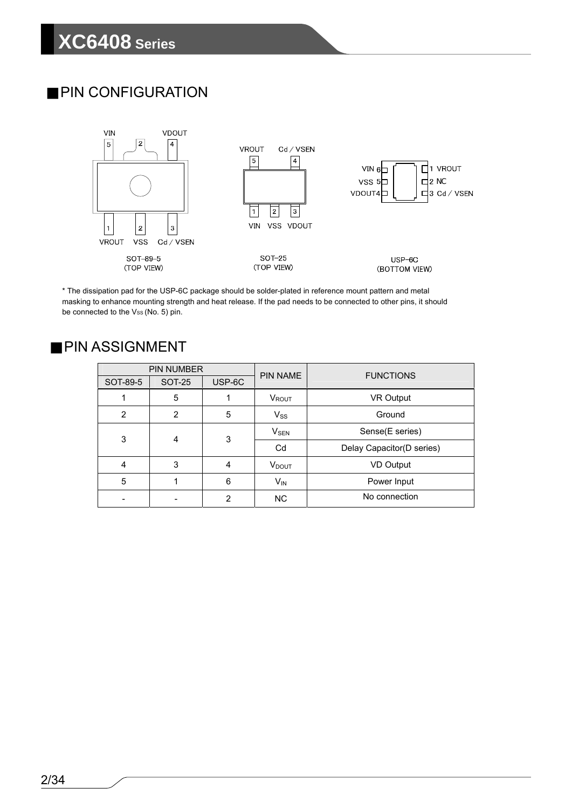### PIN CONFIGURATION



\* The dissipation pad for the USP-6C package should be solder-plated in reference mount pattern and metal masking to enhance mounting strength and heat release. If the pad needs to be connected to other pins, it should be connected to the Vss (No. 5) pin.

#### PIN ASSIGNMENT

|                | <b>PIN NUMBER</b> |                | <b>PIN NAME</b>          | <b>FUNCTIONS</b>          |  |  |  |
|----------------|-------------------|----------------|--------------------------|---------------------------|--|--|--|
| SOT-89-5       | <b>SOT-25</b>     | USP-6C         |                          |                           |  |  |  |
|                | 5                 |                | VROUT                    | <b>VR Output</b>          |  |  |  |
| $\overline{2}$ | $\overline{2}$    | 5              | $V_{SS}$                 | Ground                    |  |  |  |
| 3              | 4                 | 3              |                          | Sense(E series)           |  |  |  |
|                |                   |                | Cd                       | Delay Capacitor(D series) |  |  |  |
| 4              | 3                 | 4              | <b>V</b> <sub>DOUT</sub> | <b>VD Output</b>          |  |  |  |
| 5              |                   | 6              | $V_{IN}$                 | Power Input               |  |  |  |
|                |                   | $\overline{2}$ | <b>NC</b>                | No connection             |  |  |  |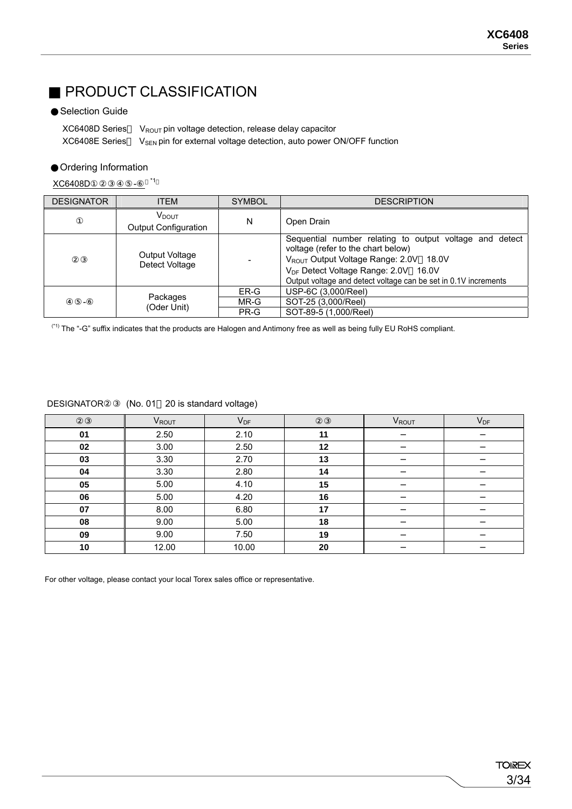### PRODUCT CLASSIFICATION

#### Selection Guide

XC6408D Series VROUT pin voltage detection, release delay capacitor  $XC6408E$  Series  $V_{SEN}$  pin for external voltage detection, auto power ON/OFF function

#### Ordering Information

XC6408D①②③④⑤- \*1

| <b>DESIGNATOR</b> | <b>ITEM</b>                                   | <b>SYMBOL</b> | <b>DESCRIPTION</b>                                                                                                                                                                                                                                                            |
|-------------------|-----------------------------------------------|---------------|-------------------------------------------------------------------------------------------------------------------------------------------------------------------------------------------------------------------------------------------------------------------------------|
|                   | $\rm V_{DOUT}$<br><b>Output Configuration</b> | N             | Open Drain                                                                                                                                                                                                                                                                    |
|                   | Output Voltage<br>Detect Voltage              |               | Sequential number relating to output voltage and<br>detect<br>voltage (refer to the chart below)<br>V <sub>ROUT</sub> Output Voltage Range: 2.0V 18.0V<br>V <sub>DF</sub> Detect Voltage Range: 2.0V 16.0V<br>Output voltage and detect voltage can be set in 0.1V increments |
|                   |                                               | ER-G          | USP-6C (3,000/Reel)                                                                                                                                                                                                                                                           |
|                   | Packages                                      | MR-G          | SOT-25 (3,000/Reel)                                                                                                                                                                                                                                                           |
|                   | (Oder Unit)                                   | PR-G          | SOT-89-5 (1,000/Reel)                                                                                                                                                                                                                                                         |

(\*1) The "-G" suffix indicates that the products are Halogen and Antimony free as well as being fully EU RoHS compliant.

|    | VROUT | $V_{DF}$ |    | <b>V</b> <sub>ROUT</sub> | $V_{DF}$ |
|----|-------|----------|----|--------------------------|----------|
| 01 | 2.50  | 2.10     | 11 |                          |          |
| 02 | 3.00  | 2.50     | 12 |                          |          |
| 03 | 3.30  | 2.70     | 13 |                          |          |
| 04 | 3.30  | 2.80     | 14 |                          |          |
| 05 | 5.00  | 4.10     | 15 |                          |          |
| 06 | 5.00  | 4.20     | 16 |                          |          |
| 07 | 8.00  | 6.80     | 17 |                          |          |
| 08 | 9.00  | 5.00     | 18 |                          |          |
| 09 | 9.00  | 7.50     | 19 |                          |          |
| 10 | 12.00 | 10.00    | 20 |                          |          |

DESIGNATOR (No. 01 20 is standard voltage)

For other voltage, please contact your local Torex sales office or representative.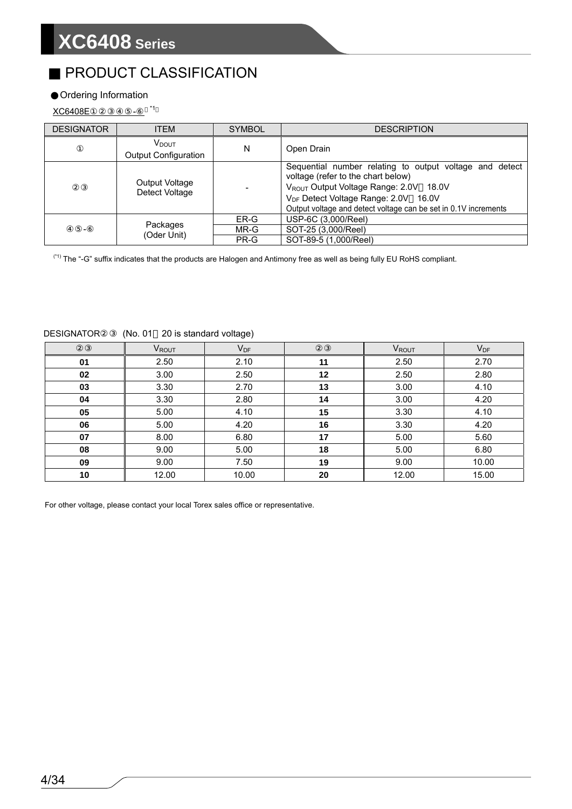## PRODUCT CLASSIFICATION

#### Ordering Information

XC6408E <sup>\*1</sup>

| <b>DESIGNATOR</b> | <b>ITEM</b>                                      | <b>SYMBOL</b> | <b>DESCRIPTION</b>                                                                                                                                                                                                                                             |  |  |  |  |
|-------------------|--------------------------------------------------|---------------|----------------------------------------------------------------------------------------------------------------------------------------------------------------------------------------------------------------------------------------------------------------|--|--|--|--|
|                   | V <sub>DOUT</sub><br><b>Output Configuration</b> | N             | Open Drain                                                                                                                                                                                                                                                     |  |  |  |  |
|                   | Output Voltage<br>Detect Voltage                 |               | Sequential number relating to output voltage and detect<br>voltage (refer to the chart below)<br>VROUT Output Voltage Range: 2.0V 18.0V<br>V <sub>DF</sub> Detect Voltage Range: 2.0V 16.0V<br>Output voltage and detect voltage can be set in 0.1V increments |  |  |  |  |
|                   |                                                  | ER-G          | USP-6C (3,000/Reel)                                                                                                                                                                                                                                            |  |  |  |  |
| -                 | Packages                                         | MR-G          | SOT-25 (3,000/Reel)                                                                                                                                                                                                                                            |  |  |  |  |
|                   | (Oder Unit)                                      | PR-G          | SOT-89-5 (1,000/Reel)                                                                                                                                                                                                                                          |  |  |  |  |

 $(1)$  The "-G" suffix indicates that the products are Halogen and Antimony free as well as being fully EU RoHS compliant.

|    | <b>VROUT</b> | $V_{DF}$ |    | VROUT | $V_{DF}$ |  |
|----|--------------|----------|----|-------|----------|--|
| 01 | 2.50         | 2.10     | 11 | 2.50  | 2.70     |  |
| 02 | 3.00         | 2.50     | 12 | 2.50  | 2.80     |  |
| 03 | 3.30         | 2.70     | 13 | 3.00  | 4.10     |  |
| 04 | 3.30         | 2.80     | 14 | 3.00  | 4.20     |  |
| 05 | 5.00         | 4.10     | 15 | 3.30  | 4.10     |  |
| 06 | 5.00         | 4.20     | 16 | 3.30  | 4.20     |  |
| 07 | 8.00         | 6.80     | 17 | 5.00  | 5.60     |  |
| 08 | 9.00         | 5.00     | 18 | 5.00  | 6.80     |  |
| 09 | 9.00         | 7.50     | 19 | 9.00  | 10.00    |  |
| 10 | 12.00        | 10.00    | 20 | 12.00 | 15.00    |  |

DESIGNATOR (No. 01 20 is standard voltage)

For other voltage, please contact your local Torex sales office or representative.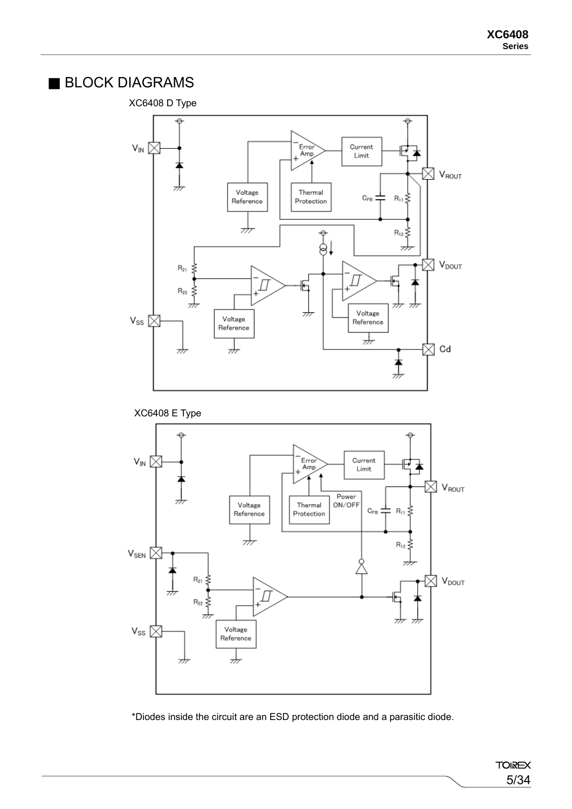#### BLOCK DIAGRAMS

#### XC6408 D Type



XC6408 E Type



\*Diodes inside the circuit are an ESD protection diode and a parasitic diode.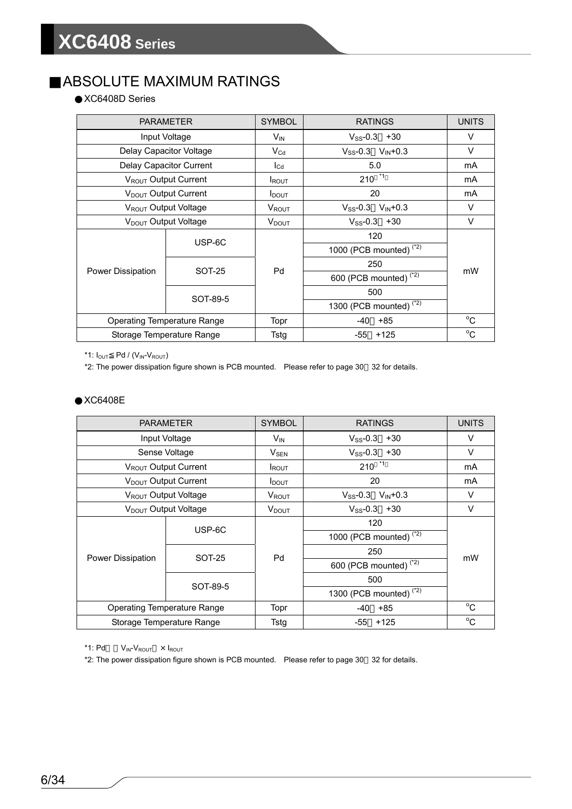#### ABSOLUTE MAXIMUM RATINGS

XC6408D Series

|                   | <b>PARAMETER</b>                   | <b>SYMBOL</b>            | <b>RATINGS</b>                     | <b>UNITS</b> |  |
|-------------------|------------------------------------|--------------------------|------------------------------------|--------------|--|
|                   | Input Voltage                      | $V_{\text{IN}}$          | $V_{SS} - 0.3 + 30$                | V            |  |
|                   | Delay Capacitor Voltage            | $\rm V_{Cd}$             | $V_{SS}$ -0.3 $V_{IN}$ +0.3        | $\vee$       |  |
|                   | Delay Capacitor Current            | $I_{\text{Cd}}$          | 5.0                                | mA           |  |
|                   | V <sub>ROUT</sub> Output Current   | <b>I</b> ROUT            | $210^{11}$                         | mA           |  |
|                   | V <sub>DOUT</sub> Output Current   | <b>I</b> DOUT            | 20                                 | mA           |  |
|                   | V <sub>ROUT</sub> Output Voltage   | V <sub>ROUT</sub>        | $V_{SS}$ -0.3 $V_{IN}$ +0.3        | V            |  |
|                   | V <sub>DOUT</sub> Output Voltage   | <b>V</b> <sub>DOUT</sub> | $V_{SS} - 0.3 + 30$                | V            |  |
|                   | USP-6C                             |                          | 120                                | mW           |  |
|                   |                                    |                          | 1000 (PCB mounted) <sup>(*2)</sup> |              |  |
|                   | <b>SOT-25</b>                      | Pd                       | 250                                |              |  |
| Power Dissipation |                                    |                          | 600 (PCB mounted) <sup>(*2)</sup>  |              |  |
|                   | SOT-89-5                           |                          | 500                                |              |  |
|                   |                                    |                          | 1300 (PCB mounted) <sup>(*2)</sup> |              |  |
|                   | <b>Operating Temperature Range</b> | Topr                     | +85<br>-40                         | $^{\circ}C$  |  |
|                   | Storage Temperature Range          | Tstg                     | $+125$<br>-55                      | $^{\circ}C$  |  |

\*1:  $I_{OUT}$  Pd / ( $V_{IN}$ - $V_{ROUT}$ )

\*2: The power dissipation figure shown is PCB mounted. Please refer to page 30 32 for details.

#### XC6408E

|                   | <b>PARAMETER</b>                   | <b>SYMBOL</b>     | <b>RATINGS</b>                        | <b>UNITS</b> |  |
|-------------------|------------------------------------|-------------------|---------------------------------------|--------------|--|
|                   | Input Voltage                      | V <sub>IN</sub>   | $V_{SS}$ -0.3<br>$+30$                | v            |  |
|                   | Sense Voltage                      | $V_{\rm SEN}$     | $V_{SS} - 0.3 + 30$                   | V            |  |
|                   | V <sub>ROUT</sub> Output Current   | <b>I</b> ROUT     | $210^{-1}$                            | mA           |  |
|                   | V <sub>DOUT</sub> Output Current   | $I_{\text{DOUT}}$ | 20                                    | mA           |  |
|                   | V <sub>ROUT</sub> Output Voltage   | <b>V</b> ROUT     | $V_{SS}$ -0.3<br>$V_{\text{IN}}$ +0.3 | v            |  |
|                   | V <sub>DOUT</sub> Output Voltage   | $V_{\text{DOUT}}$ | $V_{SS} - 0.3 + 30$                   | v            |  |
|                   | USP-6C                             |                   | 120                                   |              |  |
|                   |                                    |                   | 1000 (PCB mounted) <sup>(*2)</sup>    | mW           |  |
| Power Dissipation | <b>SOT-25</b>                      | Pd                | 250                                   |              |  |
|                   |                                    |                   | 600 (PCB mounted) <sup>(*2)</sup>     |              |  |
|                   | SOT-89-5                           |                   | 500                                   |              |  |
|                   |                                    |                   | 1300 (PCB mounted) <sup>(*2)</sup>    |              |  |
|                   | <b>Operating Temperature Range</b> | Topr              | $+85$<br>-40                          | $^{\circ}C$  |  |
|                   | Storage Temperature Range          | Tstg              | $+125$<br>-55                         | $^{\circ}C$  |  |

\*1:  $Pd$   $V_{IN}-V_{ROUT}$   $\times$   $I_{ROUT}$ 

\*2: The power dissipation figure shown is PCB mounted. Please refer to page 30 32 for details.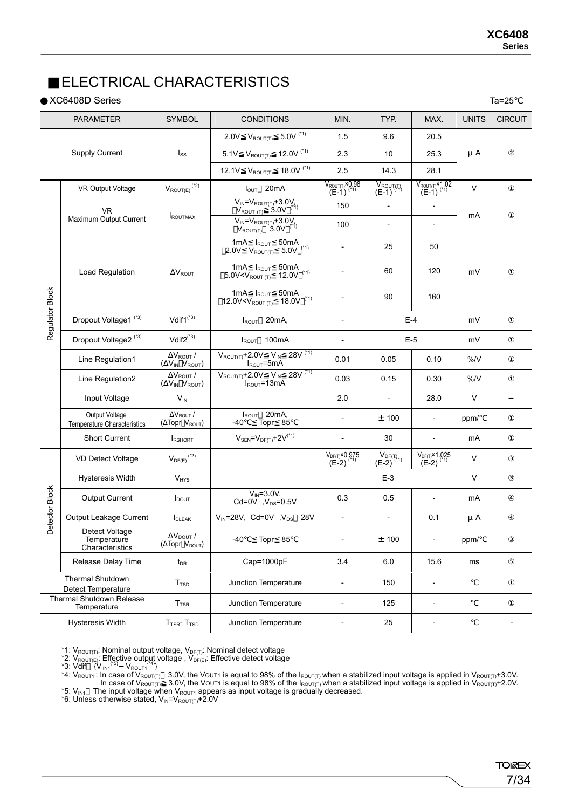#### ELECTRICAL CHARACTERISTICS

#### XC6408D Series Ta=25

|                 | <b>PARAMETER</b>                                 | <b>SYMBOL</b>                                              | <b>CONDITIONS</b>                                                                        | MIN.                                               | TYP.                                    | MAX.                                               | <b>UNITS</b> | <b>CIRCUIT</b> |
|-----------------|--------------------------------------------------|------------------------------------------------------------|------------------------------------------------------------------------------------------|----------------------------------------------------|-----------------------------------------|----------------------------------------------------|--------------|----------------|
|                 |                                                  |                                                            | 2.0V $V_{ROUT(T)}$ 5.0V $(1)$                                                            | 1.5                                                | 9.6                                     | 20.5                                               |              |                |
|                 | <b>Supply Current</b>                            | $I_{SS}$                                                   | 5.1V $V_{ROUT(T)}$ 12.0V (*1)                                                            | 2.3                                                | 10                                      | 25.3                                               | $\mu$ A      |                |
|                 |                                                  |                                                            | 12.1V $V_{ROUT(T)}$ 18.0V $(1)$                                                          | 2.5                                                | 14.3                                    | 28.1                                               |              |                |
|                 | $V_{\text{ROUT}(E)}$ (*2)<br>VR Output Voltage   |                                                            | $I_{\text{OUT}}$ 20mA                                                                    | $V_{ROUT(T)} \times 0.98$<br>(E-1) <sup>(*1)</sup> | $\frac{\overline{V_{ROUT(T)}}}{(E-1)}$  | $V_{ROUT(T)} \times 1.02$<br>(E-1) <sup>(*1)</sup> | V            |                |
|                 | <b>VR</b>                                        |                                                            | $V_{IN} = V_{ROUT(T)} + 3.0 V_{ROUT(T)} + 3.0 V_{(1)}$                                   | 150                                                | $\frac{1}{2}$                           | $\overline{\phantom{0}}$                           |              |                |
|                 | Maximum Output Current                           | <b>ROUTMAX</b>                                             | $V_{IN} = V_{ROUT(T)} + 3.0V_{IV}$<br>$V_{ROUT(T)}$ 3.0V (*1)                            | 100                                                | $\qquad \qquad \blacksquare$            | $\overline{a}$                                     | mA           |                |
|                 |                                                  |                                                            | 1mA I <sub>ROUT</sub> 50mA<br>2.0V $V_{ROUT(T)}$ 5.0V $(1)$                              | $\overline{\phantom{a}}$                           | 25                                      | 50                                                 |              |                |
|                 | Load Regulation                                  | $\Delta V_{ROUT}$                                          | 1mA $I_{ROUT}$ 50mA<br>5.0V <v<math>_{\text{ROUT(T)}} 12.0V <math>^{(4)}</math></v<math> | $\overline{a}$                                     | 60                                      | 120                                                | mV           |                |
| Regulator Block |                                                  |                                                            | 1mA IROUT 50mA<br>12.0V <v<math>_{\text{ROUT (T)}} 18.0V (*1)</v<math>                   |                                                    | 90                                      | 160                                                |              |                |
|                 | Dropout Voltage1 <sup>(*3)</sup>                 | Vdif $1^{(*)}$                                             | $I_{ROUT}$ 20mA,                                                                         | $\overline{a}$                                     | $E-4$                                   |                                                    | mV           |                |
|                 | Dropout Voltage2 <sup>(*3)</sup>                 | $Vdir2^{(*3)}$                                             | $I_{ROUT}$ 100mA                                                                         | $\overline{a}$                                     | $E-5$                                   |                                                    | mV           |                |
|                 | Line Regulation1                                 | $\Delta V_{ROUT}$ /<br>(AVIN VROUT)                        | $V_{ROUT(T)} + 2.0V$ $V_{IN}$ 28V $(1)$<br>$I_{ROUT} = 5mA$                              | 0.01                                               | 0.05                                    | 0.10                                               | %N           |                |
|                 | Line Regulation2                                 | $\Delta V_{ROUT}$ /<br>$(\Delta V_{IN} V_{ROUT})$          | $V_{ROUT(T)}$ +2.0V $V_{IN}$ 28V <sup>(*1)</sup><br>$I_{ROUT} = 13 \text{mA}$            | 0.03                                               | 0.15                                    | 0.30                                               | %N           |                |
|                 | Input Voltage                                    | $V_{\text{IN}}$                                            |                                                                                          | 2.0                                                | $\overline{a}$                          | 28.0                                               | $\vee$       |                |
|                 | Output Voltage<br>Temperature Characteristics    | $\Delta V_{ROUT}$ /<br>(ΔTopr V <sub>ROUT</sub> )          | $I_{ROUT}$ 20mA,<br>Topr 85<br>-40                                                       | $\overline{\phantom{a}}$                           | ± 100                                   |                                                    | ppm/         |                |
|                 | Short Current                                    | <b>IRSHORT</b>                                             | $V_{SEN} = V_{DF(T)} + 2V^{(*1)}$                                                        | $\overline{\phantom{a}}$                           | 30                                      | $\overline{\phantom{0}}$                           | mA           |                |
|                 | VD Detect Voltage                                | $V_{DF(E)}$ <sup>(*2)</sup>                                |                                                                                          | $V_{DF(T)} \times 0.975$<br>(E-2) <sup>(*1)</sup>  | $V_{DF(T_{1})}$<br>(E-2) <sup>(1)</sup> | $V_{DF(T)}$ × 1.025<br>(E-2) <sup>(*1)</sup>       | V            |                |
|                 | <b>Hysteresis Width</b>                          | $V_{HYS}$                                                  |                                                                                          |                                                    | $E-3$                                   |                                                    | V            |                |
| Detector Block  | Output Current                                   | $I_{DOUT}$                                                 | $V_{IN} = 3.0V,$<br>Cd=0V $, V_{DS} = 0.5V$                                              | 0.3                                                | 0.5                                     | $\overline{a}$                                     | mA           |                |
|                 | Output Leakage Current                           | <b>I</b> DLEAK                                             | $V_{IN} = 28V$ , Cd=0V, $V_{DS}$ 28V                                                     | $\overline{\phantom{a}}$                           | $\overline{\phantom{a}}$                | 0.1                                                | μA           |                |
|                 | Detect Voltage<br>Temperature<br>Characteristics | $\Delta\rm{V}_{\rm{DOUT}}$ /<br>(ΔTopr V <sub>DOUT</sub> ) | -40<br>Topr 85                                                                           | $\overline{\phantom{a}}$                           | ± 100                                   | $\overline{\phantom{a}}$                           | ppm/         |                |
|                 | Release Delay Time                               | $t_{DR}$                                                   | Cap=1000pF                                                                               | 3.4                                                | 6.0                                     | 15.6                                               | ms           |                |
|                 | Thermal Shutdown<br><b>Detect Temperature</b>    | T <sub>TSD</sub>                                           | Junction Temperature                                                                     | $\overline{\phantom{a}}$                           | 150                                     | $\overline{a}$                                     |              |                |
|                 | Thermal Shutdown Release<br>Temperature          | T <sub>TSR</sub>                                           | Junction Temperature                                                                     | $\overline{\phantom{a}}$                           | 125                                     | $\overline{a}$                                     |              |                |
|                 | Hysteresis Width                                 | $TTSR - TTSD$                                              | Junction Temperature                                                                     | $\overline{\phantom{a}}$                           | 25                                      | $\overline{a}$                                     |              |                |
|                 |                                                  |                                                            |                                                                                          |                                                    |                                         |                                                    |              |                |

\*1:  $V_{\text{ROUT}(T)}$ : Nominal output voltage,  $V_{\text{DF}(T)}$ : Nominal detect voltage

\*2:  $V_{\text{ROUT}(E)}$ : Effective output voltage,  $V_{\text{DF}(E)}$ : Effective detect voltage

- \*3: Vdif  ${V_{IN1}}^{5}$   $V_{ROUT1}^{44}$ }
- $*4$ : V<sub>ROUT1</sub>: In case of V<sub>ROUT(T)</sub> 3.0V, the VOUT1 is equal to 98% of the I<sub>ROUT(T)</sub> when a stabilized input voltage is applied in V<sub>ROUT(T)</sub>+3.0V. In case of V<sub>ROUT(T)</sub> 3.0V, the VouT1 is equal to 98% of the I<sub>ROUT(T)</sub> when a stabilized input voltage is applied in V<sub>ROUT(T)</sub>+2.0V. \*5:  $V_{IN1}$  The input voltage when  $V_{\text{ROUT1}}$  appears as input voltage is gradually decreased.

\*6: Unless otherwise stated,  $V_{IN} = V_{ROUT(T)} + 2.0V$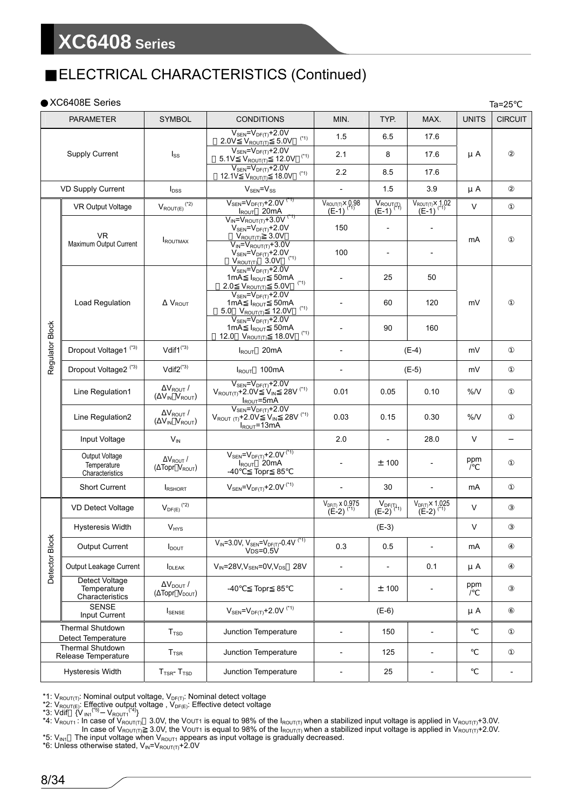### ELECTRICAL CHARACTERISTICS (Continued)

|                          | XC6408E Series                                   |                                                   |                                                                                                                                                                                             |                                                      |                                                      |                                                   |              | $Ta=25$        |
|--------------------------|--------------------------------------------------|---------------------------------------------------|---------------------------------------------------------------------------------------------------------------------------------------------------------------------------------------------|------------------------------------------------------|------------------------------------------------------|---------------------------------------------------|--------------|----------------|
|                          | <b>PARAMETER</b>                                 | <b>SYMBOL</b>                                     | <b>CONDITIONS</b>                                                                                                                                                                           | MIN.                                                 | TYP.                                                 | MAX.                                              | <b>UNITS</b> | <b>CIRCUIT</b> |
|                          |                                                  |                                                   | $V_{SEN} = V_{DF(T)} + 2.0V$<br>$2.0V$ $V_{ROUT(T)}$ 5.0V $(1)$                                                                                                                             | 1.5                                                  | 6.5                                                  | 17.6                                              |              |                |
|                          | <b>Supply Current</b>                            | $I_{SS}$                                          | $V_{SEN} = V_{DF(T)} + 2.0V$<br>$5.1V$ $V_{ROUT(T)}$ 12.0V (*1)                                                                                                                             | 2.1                                                  | 8                                                    | 17.6                                              | μA           |                |
|                          |                                                  |                                                   | $V_{\text{SEN}} = V_{\text{DF(T)}} + 2.0V$<br>$(*1)$<br>12.1V $V_{\text{ROUT(T)}}$ 18.0V                                                                                                    | 2.2                                                  | 8.5                                                  | 17.6                                              |              |                |
| <b>VD Supply Current</b> |                                                  | $I_{\text{DSS}}$                                  | $V_{SEN} = V_{SS}$                                                                                                                                                                          | $\blacksquare$                                       | 1.5                                                  | 3.9                                               | μA           |                |
|                          | <b>VR Output Voltage</b>                         | $V_{\mathsf{ROUT}(E)}$ (*2)                       | $V_{\text{SEN}} = V_{\text{DF}(T)} + 2.0V^{(2)}$<br>$I_{ROUT}$ 20mA                                                                                                                         | $V_{ROUT(T)} \times 0.98$<br>$(E-1)$ <sup>(*1)</sup> | $V_{ROUT(T)}$<br>(E-1) <sup>(<math>T_1</math>)</sup> | $V_{ROUT(T)} \times 1.02$<br>$(E-1)^{(1)}$        | V            |                |
|                          | VR.                                              | <b>IROUTMAX</b>                                   | $V_{IN} = V_{ROUT(T)} + 3.0V^{(T)}$<br>$V_{\text{SEN}} = V_{\text{DF}(T)} + 2.0 V$<br>$V_{\text{ROUT}(T)} = 3.0 V$                                                                          | 150                                                  | $\overline{a}$                                       | $\overline{\phantom{0}}$                          | mA           |                |
|                          | Maximum Output Current                           |                                                   | $V_{IN} = V_{ROUT(T)} + 3.0V$<br>$\frac{V_{\text{SEN}} = V_{\text{DF}(T)} + 2.0 V_{\text{ROUT}(T)}}{V_{\text{REN}} = V_{\text{DF}(T)} + 2.0 V_{\text{V}} + 2.0 V_{\text{S}}}{1 \text{ mA}}$ | 100                                                  |                                                      | $\overline{a}$                                    |              |                |
|                          |                                                  |                                                   | $(*1)$<br>2.0 $V_{ROUT(T)}$ 5.0V                                                                                                                                                            |                                                      | 25                                                   | 50                                                |              |                |
|                          | <b>Load Regulation</b>                           | <b>V</b> <sub>ROUT</sub>                          | $V_{SEN} = V_{DF(T)} + 2.0V$<br>1mA $I_{ROUT}$ 50mA<br>$(*1)$<br>5.0 V <sub>ROUT(T)</sub> 12.0V                                                                                             |                                                      | 60                                                   | 120                                               | mV           |                |
| Regulator Block          |                                                  |                                                   | $V_{SEN} = V_{DF(T)} + 2.0V$<br>1mA I <sub>ROUT</sub> 50mA<br>$(*1)$<br>12.0 V <sub>ROUT(T)</sub> 18.0V                                                                                     |                                                      | 90                                                   | 160                                               |              |                |
|                          | Dropout Voltage1 <sup>(*3)</sup>                 | Vdif1 <sup>(*3)</sup>                             | $I_{ROUT}$ 20mA                                                                                                                                                                             |                                                      |                                                      | $(E-4)$                                           | mV           |                |
|                          | Dropout Voltage2 <sup>(*3)</sup>                 | Vdif $2^{(*)}$                                    | $I_{ROUT}$ 100mA                                                                                                                                                                            | $\overline{\phantom{a}}$                             |                                                      | $(E-5)$                                           | mV           |                |
|                          | Line Regulation1                                 | $\Delta V_{ROUT}$ /<br>$(\Delta V_{IN} V_{ROUT})$ | $\frac{V_{\text{SEN}}\text{=}V_{\text{DF}(T)}\text{+2.0V}}{V_{\text{ROUT}(T)}\text{+2.0V}\ \ V_{\text{IN}}\ \ 28V\ \ }{^{(*)}}$<br>$I_{ROUT} = 5mA$                                         | 0.01                                                 | 0.05                                                 | 0.10                                              | %N           |                |
|                          | Line Regulation2                                 | $\Delta V_{ROUT}$ /<br>$(\Delta V_{IN} V_{ROUT})$ | $V_{SEN} = V_{DF(T)} + 2.0V$<br>$V_{ROUT(T)}+2.0V^{\circ}V_{IN}$ 28V (*1)<br>$I_{ROUT} = 13 \text{mA}$                                                                                      | 0.03                                                 | 0.15                                                 | 0.30                                              | %N           |                |
|                          | Input Voltage                                    | $V_{IN}$                                          |                                                                                                                                                                                             | 2.0                                                  |                                                      | 28.0                                              | $\vee$       |                |
|                          | Output Voltage<br>Temperature<br>Characteristics | $\Delta V_{ROUT}$ /<br>(ΔTopr V <sub>ROUT</sub> ) | $V_{\text{SEN}} = V_{\text{DF}(T)} + 2.0V^{(4)}$<br>$I_{ROUT}$ 20mA<br>Topr 85<br>-40                                                                                                       |                                                      | ± 100                                                |                                                   | ppm          |                |
|                          | Short Current                                    | <b>I</b> RSHORT                                   | $V_{\text{SEN}} = V_{\text{DF}(T)} + 2.0V^{(4)}$                                                                                                                                            | $\overline{\phantom{a}}$                             | 30                                                   | $\overline{a}$                                    | mA           |                |
|                          | VD Detect Voltage                                | $V_{\text{DF}(E)}$ $^{(*)}$                       |                                                                                                                                                                                             | $V_{\text{DF(T)}}$ x 0.975<br>(E-2) $^{(*)}$         | $\mathsf{V}_{\mathsf{DF}(\mathbb{I}_{1})}$ (E-2)     | $V_{DF(T)} \times 1.025$<br>(E-2) <sup>(*1)</sup> | V            |                |
|                          | <b>Hysteresis Width</b>                          | $V_{HYS}$                                         |                                                                                                                                                                                             |                                                      | $(E-3)$                                              |                                                   | V            |                |
| Detector Block           | Output Current                                   | <b>I</b> <sub>DOUT</sub>                          | $V_{IN} = 3.0V, V_{SEN} = V_{DF(T)} - 0.4V$ <sup>(*1)</sup><br>$V_{DS}=0.5V$                                                                                                                | 0.3                                                  | 0.5                                                  | $\qquad \qquad -$                                 | mA           |                |
|                          | Output Leakage Current                           | <b>I</b> DLEAK                                    | $V_{IN}$ =28V, V <sub>SEN</sub> =0V, V <sub>DS</sub> 28V                                                                                                                                    | $\overline{\phantom{a}}$                             |                                                      | 0.1                                               | μA           |                |
|                          | Detect Voltage<br>Temperature<br>Characteristics | $\Delta V_{DOUT}$ /<br>(ΔTopr V <sub>DOUT</sub> ) | Topr 85<br>-40                                                                                                                                                                              |                                                      | ± 100                                                |                                                   | ppm          |                |
|                          | <b>SENSE</b><br>Input Current                    | <b>I</b> SENSE                                    | $V_{SEN} = V_{DF(T)} + 2.0V$ <sup>(*1)</sup>                                                                                                                                                |                                                      | $(E-6)$                                              |                                                   | μA           |                |
|                          | <b>Thermal Shutdown</b><br>Detect Temperature    | T <sub>TSD</sub>                                  | Junction Temperature                                                                                                                                                                        | $\overline{\phantom{a}}$                             | 150                                                  | $\overline{\phantom{0}}$                          |              |                |
|                          | <b>Thermal Shutdown</b><br>Release Temperature   | T <sub>TSR</sub>                                  | Junction Temperature                                                                                                                                                                        | $\overline{\phantom{a}}$                             | 125                                                  | $\overline{\phantom{0}}$                          |              |                |
|                          | <b>Hysteresis Width</b>                          | $TTSR - TTSD$                                     | Junction Temperature                                                                                                                                                                        | $\overline{\phantom{a}}$                             | 25                                                   | $\overline{\phantom{0}}$                          |              |                |

\*1:  $V_{\mathsf{ROUT}(T)}$ : Nominal output voltage,  $V_{\mathsf{DF}(T)}$ : Nominal detect voltage

\*2:  $V_{\text{ROUT}(E)}$ : Effective output voltage,  $V_{\text{DF}(E)}$ : Effective detect voltage

\*3: Vdif  ${V_{IN1}}^{5}$   $V_{ROUT1}^{44}$ }

 $^*$ 4: V $_{\text{ROUT1}}$ : In case of V $_{\text{ROUT(T)}}$   $\,$  3.0V, the V $\text{o}$ UT1 is equal to 98% of the I $_{\text{ROUT(T)}}$ when a stabilized input voltage is applied in V $_{\text{ROUT(T)}}$ +3.0V. In case of V<sub>ROUT(T)</sub> 3.0V, the VOUT1 is equal to 98% of the I<sub>ROUT(T)</sub> when a stabilized input voltage is applied in V<sub>ROUT(T)</sub>+2.0V.

\*5:  $V_{IN1}$  The input voltage when  $V_{ROUT1}$  appears as input voltage is gradually decreased.

\*6: Unless otherwise stated,  $V_{IN} = V_{ROUT(T)} + 2.0V$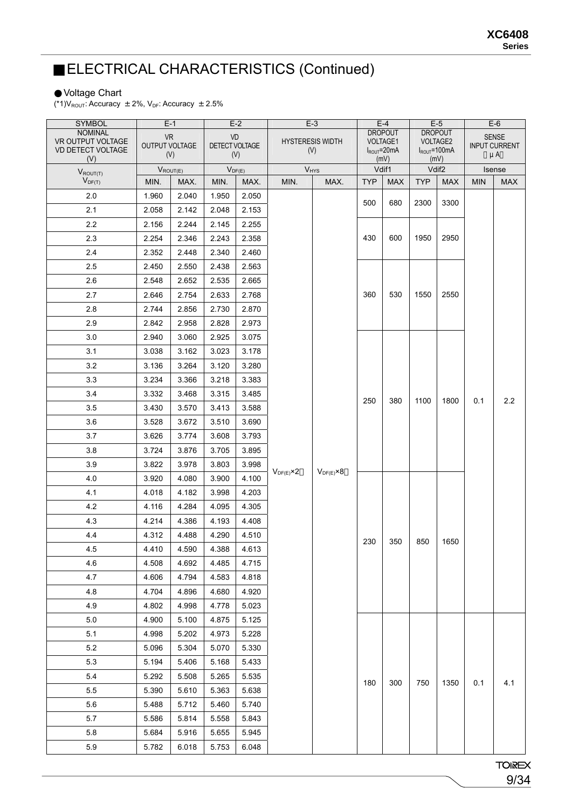### ELECTRICAL CHARACTERISTICS (Continued)

#### Voltage Chart

(\*1) $V_{\text{ROUT}}$ : Accuracy  $\pm 2\%$ ,  $V_{\text{DF}}$ : Accuracy  $\pm 2.5\%$ 

| <b>SYMBOL</b>                       | $E-1$          |       |                       | $E-2$ |                      | $E-3$                   |                            | $E-4$                   |                                   | $E-5$                    |                            | $E-6$        |  |
|-------------------------------------|----------------|-------|-----------------------|-------|----------------------|-------------------------|----------------------------|-------------------------|-----------------------------------|--------------------------|----------------------------|--------------|--|
| <b>NOMINAL</b><br>VR OUTPUT VOLTAGE | <b>VR</b>      |       | VD                    |       |                      | <b>HYSTERESIS WIDTH</b> | <b>DROPOUT</b><br>VOLTAGE1 |                         | <b>DROPOUT</b><br><b>VOLTAGE2</b> |                          |                            | <b>SENSE</b> |  |
| VD DETECT VOLTAGE                   | OUTPUT VOLTAGE | (V)   | DETECT VOLTAGE<br>(V) |       |                      | (V)                     |                            | $I_{ROUT}$ =20mA<br>(M) |                                   | $I_{ROUT} = 100mA$       | <b>INPUT CURRENT</b><br>μA |              |  |
| (V)<br>$V_{ROUT(T)}$                | $V_{ROUT(E)}$  |       | $V_{DF(E)}$           |       |                      | $V_{HYS}$               |                            | Vdif1                   |                                   | (M)<br>Vdif <sub>2</sub> |                            | Isense       |  |
| $V_{DF(T)}$                         | MIN.           | MAX.  | MIN.                  | MAX.  | MIN.                 | MAX.                    | <b>TYP</b>                 | <b>MAX</b>              | <b>TYP</b>                        | <b>MAX</b>               | <b>MIN</b>                 | <b>MAX</b>   |  |
| 2.0                                 | 1.960          | 2.040 | 1.950                 | 2.050 |                      |                         | 500                        |                         |                                   |                          |                            |              |  |
| 2.1                                 | 2.058          | 2.142 | 2.048                 | 2.153 |                      |                         |                            | 680                     | 2300                              | 3300                     |                            |              |  |
| 2.2                                 | 2.156          | 2.244 | 2.145                 | 2.255 |                      |                         | 430                        |                         |                                   |                          |                            |              |  |
| 2.3                                 | 2.254          | 2.346 | 2.243                 | 2.358 |                      |                         |                            | 600                     | 1950                              | 2950                     |                            |              |  |
| 2.4                                 | 2.352          | 2.448 | 2.340                 | 2.460 |                      |                         |                            |                         |                                   |                          |                            |              |  |
| 2.5                                 | 2.450          | 2.550 | 2.438                 | 2.563 |                      |                         |                            |                         |                                   |                          |                            |              |  |
| 2.6                                 | 2.548          | 2.652 | 2.535                 | 2.665 |                      |                         |                            |                         |                                   |                          |                            |              |  |
| 2.7                                 | 2.646          | 2.754 | 2.633                 | 2.768 |                      |                         | 360                        | 530                     | 1550                              | 2550                     |                            |              |  |
| 2.8                                 | 2.744          | 2.856 | 2.730                 | 2.870 |                      |                         |                            |                         |                                   |                          |                            |              |  |
| 2.9                                 | 2.842          | 2.958 | 2.828                 | 2.973 |                      |                         |                            |                         |                                   |                          |                            |              |  |
| 3.0                                 | 2.940          | 3.060 | 2.925                 | 3.075 |                      |                         |                            |                         |                                   |                          |                            |              |  |
| 3.1                                 | 3.038          | 3.162 | 3.023                 | 3.178 |                      |                         |                            |                         |                                   |                          | 0.1                        |              |  |
| 3.2                                 | 3.136          | 3.264 | 3.120                 | 3.280 |                      |                         |                            |                         |                                   |                          |                            |              |  |
| 3.3                                 | 3.234          | 3.366 | 3.218                 | 3.383 |                      | 250                     |                            |                         |                                   |                          |                            |              |  |
| 3.4                                 | 3.332          | 3.468 | 3.315                 | 3.485 |                      |                         |                            |                         |                                   |                          |                            |              |  |
| 3.5                                 | 3.430          | 3.570 | 3.413                 | 3.588 |                      |                         |                            | 380                     | 1100                              | 1800                     |                            | 2.2          |  |
| 3.6                                 | 3.528          | 3.672 | 3.510                 | 3.690 |                      |                         |                            |                         |                                   |                          |                            |              |  |
| 3.7                                 | 3.626          | 3.774 | 3.608                 | 3.793 |                      |                         |                            |                         |                                   |                          |                            |              |  |
| 3.8                                 | 3.724          | 3.876 | 3.705                 | 3.895 |                      |                         |                            |                         |                                   |                          |                            |              |  |
| 3.9                                 | 3.822          | 3.978 | 3.803                 | 3.998 |                      |                         |                            |                         |                                   |                          |                            |              |  |
| 4.0                                 | 3.920          | 4.080 | 3.900                 | 4.100 | $V_{DF(E)} \times 2$ | $V_{DF(E)} \times 8$    |                            |                         |                                   |                          |                            |              |  |
| 4.1                                 | 4.018          | 4.182 | 3.998                 | 4.203 |                      |                         |                            |                         |                                   |                          |                            |              |  |
| 4.2                                 | 4.116          | 4.284 | 4.095                 | 4.305 |                      |                         |                            |                         |                                   |                          |                            |              |  |
| 4.3                                 | 4.214          | 4.386 | 4.193                 | 4.408 |                      |                         |                            |                         |                                   |                          |                            |              |  |
| 4.4                                 | 4.312          | 4.488 | 4.290                 | 4.510 |                      |                         |                            |                         |                                   |                          |                            |              |  |
| 4.5                                 | 4.410          | 4.590 | 4.388                 | 4.613 |                      |                         | 230                        | 350                     | 850                               | 1650                     |                            |              |  |
| 4.6                                 | 4.508          | 4.692 | 4.485                 | 4.715 |                      |                         |                            |                         |                                   |                          |                            |              |  |
| 4.7                                 | 4.606          | 4.794 | 4.583                 | 4.818 |                      |                         |                            |                         |                                   |                          |                            |              |  |
| 4.8                                 | 4.704          | 4.896 | 4.680                 | 4.920 |                      |                         |                            |                         |                                   |                          |                            |              |  |
| 4.9                                 | 4.802          | 4.998 | 4.778                 | 5.023 |                      |                         |                            |                         |                                   |                          |                            |              |  |
| 5.0                                 | 4.900          | 5.100 | 4.875                 | 5.125 |                      |                         |                            |                         |                                   |                          |                            |              |  |
| 5.1                                 | 4.998          | 5.202 | 4.973                 | 5.228 |                      |                         |                            |                         |                                   |                          |                            |              |  |
| 5.2                                 | 5.096          | 5.304 | 5.070                 | 5.330 |                      |                         |                            |                         |                                   |                          |                            |              |  |
| 5.3                                 | 5.194          | 5.406 | 5.168                 | 5.433 |                      |                         |                            |                         |                                   |                          |                            |              |  |
| 5.4                                 | 5.292          | 5.508 | 5.265                 | 5.535 |                      |                         | 180                        | 300                     | 750                               | 1350                     | 0.1                        |              |  |
| 5.5                                 | 5.390          | 5.610 | 5.363                 | 5.638 |                      |                         |                            |                         |                                   |                          |                            | 4.1          |  |
| 5.6                                 | 5.488          | 5.712 | 5.460                 | 5.740 |                      |                         |                            |                         |                                   |                          |                            |              |  |
| 5.7                                 | 5.586          | 5.814 | 5.558                 | 5.843 |                      |                         |                            |                         |                                   |                          |                            |              |  |
| 5.8                                 | 5.684          | 5.916 | 5.655                 | 5.945 |                      |                         |                            |                         |                                   |                          |                            |              |  |
| 5.9                                 | 5.782          | 6.018 | 5.753                 | 6.048 |                      |                         |                            |                         |                                   |                          |                            |              |  |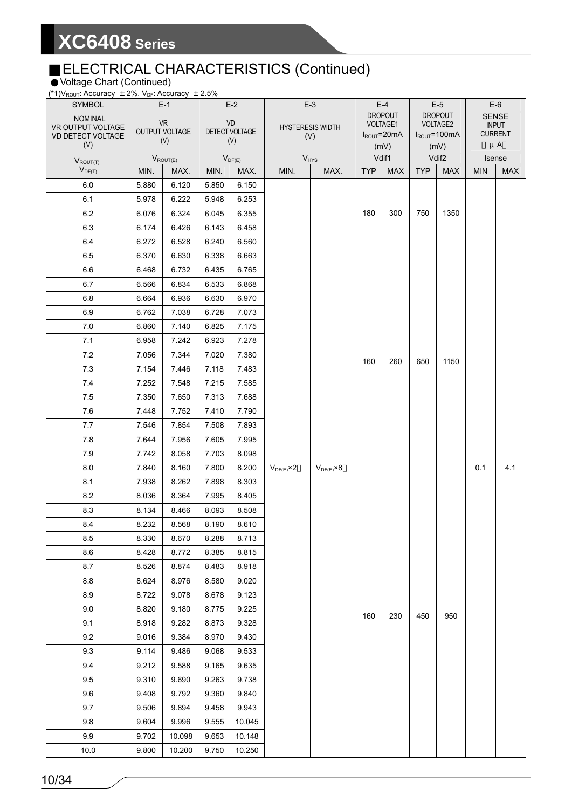#### ELECTRICAL CHARACTERISTICS (Continued)

Voltage Chart (Continued)

| (*1) V <sub>ROUT</sub> : Accuracy $\pm$ 2%, V <sub>DF</sub> : Accuracy $\pm$ 2.5% |                |                       |                |                       |                         |                      |                                   |                   |                                               |                    |                           |                |
|-----------------------------------------------------------------------------------|----------------|-----------------------|----------------|-----------------------|-------------------------|----------------------|-----------------------------------|-------------------|-----------------------------------------------|--------------------|---------------------------|----------------|
| <b>SYMBOL</b>                                                                     |                | $E-1$                 |                | $E-2$                 |                         | $E-3$                | $E-4$<br><b>DROPOUT</b>           |                   | $E-5$<br><b>DROPOUT</b>                       |                    |                           | $E-6$<br>SENSE |
| <b>NOMINAL</b><br>VR OUTPUT VOLTAGE                                               |                | <b>VR</b>             |                | VD                    | <b>HYSTERESIS WIDTH</b> |                      |                                   | VOLTAGE1          |                                               | VOLTAGE2           |                           | <b>INPUT</b>   |
| VD DETECT VOLTAGE                                                                 |                | OUTPUT VOLTAGE<br>(V) |                | DETECT VOLTAGE<br>(V) |                         | (V)                  |                                   | $I_{ROUT} = 20mA$ |                                               | $I_{ROUT} = 100mA$ | <b>CURRENT</b><br>$\mu A$ |                |
| (V)                                                                               |                |                       |                |                       |                         |                      | (mV)                              |                   | (mV)                                          |                    | Isense                    |                |
| $V_{ROUT(T)}$<br>$V_{DF(T)}$                                                      | MIN.           | $V_{ROUT(E)}$<br>MAX. | MIN.           | $V_{DF(E)}$<br>MAX.   | $V_{HYS}$<br>MIN.       | MAX.                 | Vdif1<br><b>TYP</b><br><b>MAX</b> |                   | Vdif <sub>2</sub><br><b>TYP</b><br><b>MAX</b> |                    | <b>MIN</b>                | <b>MAX</b>     |
| 6.0                                                                               | 5.880          | 6.120                 | 5.850          | 6.150                 |                         |                      |                                   |                   |                                               |                    |                           |                |
| 6.1                                                                               | 5.978          | 6.222                 | 5.948          | 6.253                 |                         |                      |                                   |                   |                                               | 1350               |                           |                |
| 6.2                                                                               | 6.076          | 6.324                 | 6.045          | 6.355                 |                         |                      | 180                               | 300               | 750                                           |                    |                           |                |
| 6.3                                                                               | 6.174          | 6.426                 | 6.143          | 6.458                 |                         |                      |                                   |                   |                                               |                    |                           |                |
| 6.4                                                                               | 6.272          | 6.528                 | 6.240          | 6.560                 |                         |                      |                                   |                   |                                               |                    |                           |                |
| 6.5                                                                               | 6.370          | 6.630                 | 6.338          | 6.663                 |                         |                      |                                   |                   |                                               |                    |                           |                |
| 6.6                                                                               | 6.468          | 6.732                 | 6.435          | 6.765                 |                         |                      |                                   |                   |                                               |                    |                           |                |
| 6.7                                                                               | 6.566          | 6.834                 | 6.533          | 6.868                 |                         |                      |                                   |                   |                                               |                    |                           |                |
| 6.8                                                                               | 6.664          | 6.936                 | 6.630          | 6.970                 |                         |                      |                                   |                   |                                               |                    |                           |                |
| 6.9                                                                               | 6.762          | 7.038                 | 6.728          | 7.073                 |                         |                      |                                   |                   |                                               |                    |                           |                |
| 7.0                                                                               | 6.860          | 7.140                 | 6.825          | 7.175                 |                         |                      |                                   |                   | 650                                           | 1150               |                           |                |
| 7.1                                                                               | 6.958          | 7.242                 | 6.923          | 7.278                 |                         |                      |                                   | 260               |                                               |                    |                           |                |
| 7.2                                                                               | 7.056          | 7.344                 | 7.020          | 7.380                 |                         |                      | 160                               |                   |                                               |                    |                           |                |
| 7.3                                                                               | 7.154          | 7.446                 | 7.118          | 7.483                 |                         |                      |                                   |                   |                                               |                    |                           |                |
| 7.4                                                                               | 7.252          | 7.548                 | 7.215          | 7.585                 |                         |                      |                                   |                   |                                               |                    |                           |                |
| 7.5                                                                               | 7.350          | 7.650                 | 7.313          | 7.688                 |                         |                      |                                   |                   |                                               |                    |                           |                |
| 7.6                                                                               | 7.448          | 7.752                 | 7.410          | 7.790                 |                         |                      |                                   |                   |                                               |                    |                           |                |
| 7.7                                                                               | 7.546          | 7.854                 | 7.508          | 7.893                 |                         |                      |                                   |                   |                                               |                    |                           |                |
| 7.8                                                                               | 7.644          | 7.956                 | 7.605          | 7.995                 |                         |                      |                                   |                   |                                               |                    |                           |                |
| 7.9                                                                               | 7.742          | 8.058                 | 7.703          | 8.098                 |                         |                      |                                   |                   |                                               |                    | 0.1                       |                |
| 8.0                                                                               | 7.840          | 8.160                 | 7.800          | 8.200                 | $V_{DF(E)} \times 2$    | $V_{DF(E)} \times 8$ |                                   |                   |                                               |                    |                           | 4.1            |
| 8.1                                                                               | 7.938          | 8.262                 | 7.898          | 8.303                 |                         |                      |                                   |                   |                                               |                    |                           |                |
| 8.2                                                                               | 8.036          | 8.364                 | 7.995          | 8.405                 |                         |                      |                                   |                   |                                               |                    |                           |                |
| 8.3                                                                               | 8.134          | 8.466                 | 8.093          | 8.508                 |                         |                      |                                   |                   |                                               |                    |                           |                |
| 8.4                                                                               | 8.232          | 8.568                 | 8.190          | 8.610                 |                         |                      |                                   |                   |                                               |                    |                           |                |
| 8.5<br>8.6                                                                        | 8.330<br>8.428 | 8.670<br>8.772        | 8.288<br>8.385 | 8.713<br>8.815        |                         |                      |                                   |                   |                                               |                    |                           |                |
| 8.7                                                                               | 8.526          | 8.874                 | 8.483          | 8.918                 |                         |                      |                                   |                   |                                               |                    |                           |                |
| 8.8                                                                               | 8.624          | 8.976                 | 8.580          | 9.020                 |                         |                      |                                   |                   |                                               |                    |                           |                |
| 8.9                                                                               | 8.722          | 9.078                 | 8.678          | 9.123                 |                         |                      |                                   |                   |                                               |                    |                           |                |
| 9.0                                                                               | 8.820          | 9.180                 | 8.775          | 9.225                 |                         |                      |                                   |                   |                                               |                    |                           |                |
| 9.1                                                                               | 8.918          | 9.282                 | 8.873          | 9.328                 |                         |                      | 160                               | 230               | 450                                           | 950                |                           |                |
| 9.2                                                                               | 9.016          | 9.384                 | 8.970          | 9.430                 |                         |                      |                                   |                   |                                               |                    |                           |                |
| 9.3                                                                               | 9.114          | 9.486                 | 9.068          | 9.533                 |                         |                      |                                   |                   |                                               |                    |                           |                |
| 9.4                                                                               | 9.212          | 9.588                 | 9.165          | 9.635                 |                         |                      |                                   |                   |                                               |                    |                           |                |
| 9.5                                                                               | 9.310          | 9.690                 | 9.263          | 9.738                 |                         |                      |                                   |                   |                                               |                    |                           |                |
| 9.6                                                                               | 9.408          | 9.792                 | 9.360          | 9.840                 |                         |                      |                                   |                   |                                               |                    |                           |                |
| 9.7                                                                               | 9.506          | 9.894                 | 9.458          | 9.943                 |                         |                      |                                   |                   |                                               |                    |                           |                |
| 9.8                                                                               | 9.604          | 9.996                 | 9.555          | 10.045                |                         |                      |                                   |                   |                                               |                    |                           |                |
| 9.9                                                                               | 9.702          | 10.098                | 9.653          | 10.148                |                         |                      |                                   |                   |                                               |                    |                           |                |
| 10.0                                                                              | 9.800          | 10.200                | 9.750          | 10.250                |                         |                      |                                   |                   |                                               |                    |                           |                |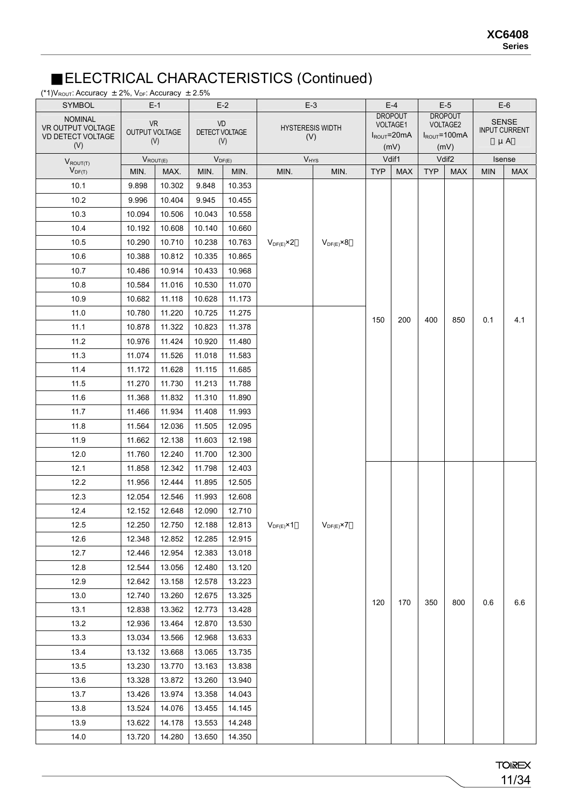#### ELECTRICAL CHARACTERISTICS (Continued)

(\*1) $V_{\text{ROUT}}$ : Accuracy  $\pm 2\%$ ,  $V_{\text{DF}}$ : Accuracy  $\pm 2.5\%$ 

| <b>SYMBOL</b>                                                   |                             | $E-1$  |                      | $E-2$               | $E-3$                          |                      |            | $E-4$                                                 |            | $E-5$                                                   |            | $E-6$                                           |
|-----------------------------------------------------------------|-----------------------------|--------|----------------------|---------------------|--------------------------------|----------------------|------------|-------------------------------------------------------|------------|---------------------------------------------------------|------------|-------------------------------------------------|
| <b>NOMINAL</b><br>VR OUTPUT VOLTAGE<br>VD DETECT VOLTAGE<br>(V) | <b>VR</b><br>OUTPUT VOLTAGE | (V)    | VD<br>DETECT VOLTAGE | (V)                 | <b>HYSTERESIS WIDTH</b><br>(V) |                      |            | <b>DROPOUT</b><br><b>VOLTAGE1</b><br>$I_{ROUT}$ =20mA |            | <b>DROPOUT</b><br><b>VOLTAGE2</b><br>$I_{ROUT} = 100mA$ |            | <b>SENSE</b><br><b>INPUT CURRENT</b><br>$\mu$ A |
|                                                                 |                             |        |                      |                     |                                |                      |            | (mV)<br>Vdif1                                         |            | (mV)<br>Vdif <sub>2</sub>                               |            | Isense                                          |
| $V_{ROUT(T)}$<br>$V_{DF(T)}$                                    | $V_{ROUT(E)}$<br>MIN.       | MAX.   | MIN.                 | $V_{DF(E)}$<br>MIN. | $V_{HYS}$<br>MIN.              | MIN.                 | <b>TYP</b> | <b>MAX</b>                                            | <b>TYP</b> | <b>MAX</b>                                              | <b>MIN</b> | <b>MAX</b>                                      |
| 10.1                                                            | 9.898                       | 10.302 | 9.848                | 10.353              |                                |                      |            |                                                       |            |                                                         |            |                                                 |
| 10.2                                                            | 9.996                       | 10.404 | 9.945                | 10.455              |                                |                      |            |                                                       |            |                                                         |            |                                                 |
| 10.3                                                            | 10.094                      | 10.506 | 10.043               | 10.558              |                                |                      |            |                                                       |            |                                                         |            |                                                 |
| 10.4                                                            | 10.192                      | 10.608 | 10.140               | 10.660              |                                |                      |            |                                                       |            |                                                         |            |                                                 |
| 10.5                                                            | 10.290                      | 10.710 | 10.238               | 10.763              | $V_{DF(E)} \times 2$           | $V_{DF(E)} \times 8$ |            |                                                       |            |                                                         |            |                                                 |
| 10.6                                                            | 10.388                      | 10.812 | 10.335               | 10.865              |                                |                      |            |                                                       |            |                                                         |            |                                                 |
| 10.7                                                            | 10.486                      | 10.914 | 10.433               | 10.968              |                                |                      |            |                                                       |            |                                                         |            |                                                 |
| 10.8                                                            | 10.584                      | 11.016 | 10.530               | 11.070              |                                |                      |            |                                                       |            |                                                         |            |                                                 |
| 10.9                                                            | 10.682                      | 11.118 | 10.628               | 11.173              |                                |                      |            |                                                       |            |                                                         |            |                                                 |
| 11.0                                                            | 10.780                      | 11.220 | 10.725               | 11.275              |                                |                      | 150        | 200                                                   | 400        | 850                                                     | 0.1        | 4.1                                             |
| 11.1                                                            | 10.878                      | 11.322 | 10.823               | 11.378              |                                |                      |            |                                                       |            |                                                         |            |                                                 |
| 11.2                                                            | 10.976                      | 11.424 | 10.920               | 11.480              |                                |                      |            |                                                       |            |                                                         |            |                                                 |
| 11.3                                                            | 11.074                      | 11.526 | 11.018               | 11.583              |                                |                      |            |                                                       |            |                                                         |            |                                                 |
| 11.4                                                            | 11.172                      | 11.628 | 11.115               | 11.685              |                                |                      |            |                                                       |            |                                                         |            |                                                 |
| 11.5                                                            | 11.270                      | 11.730 | 11.213               | 11.788              |                                |                      |            |                                                       |            |                                                         |            |                                                 |
| 11.6                                                            | 11.368                      | 11.832 | 11.310               | 11.890              |                                |                      |            |                                                       |            |                                                         |            |                                                 |
| 11.7                                                            | 11.466                      | 11.934 | 11.408               | 11.993              |                                |                      |            |                                                       |            |                                                         |            |                                                 |
| 11.8                                                            | 11.564                      | 12.036 | 11.505               | 12.095              |                                |                      |            |                                                       |            |                                                         |            |                                                 |
| 11.9                                                            | 11.662                      | 12.138 | 11.603               | 12.198              |                                |                      |            |                                                       |            |                                                         |            |                                                 |
| 12.0                                                            | 11.760                      | 12.240 | 11.700               | 12.300              |                                |                      |            |                                                       |            |                                                         |            |                                                 |
| 12.1                                                            | 11.858                      | 12.342 | 11.798               | 12.403              |                                |                      |            |                                                       |            |                                                         |            |                                                 |
| 12.2                                                            | 11.956                      | 12.444 | 11.895               | 12.505              |                                |                      |            |                                                       |            |                                                         |            |                                                 |
| 12.3                                                            | 12.054                      | 12.546 | 11.993               | 12.608              |                                |                      |            |                                                       |            |                                                         |            |                                                 |
| 12.4                                                            | 12.152                      | 12.648 | 12.090               | 12.710              |                                |                      |            |                                                       |            |                                                         |            |                                                 |
| 12.5                                                            | 12.250                      | 12.750 | 12.188               | 12.813              | $V_{DF(E)} \times 1$           | $V_{DF(E)}$ ×7       |            |                                                       |            |                                                         |            |                                                 |
| 12.6                                                            | 12.348                      | 12.852 | 12.285               | 12.915              |                                |                      |            |                                                       |            |                                                         |            |                                                 |
| 12.7                                                            | 12.446                      | 12.954 | 12.383               | 13.018              |                                |                      |            |                                                       |            |                                                         |            |                                                 |
| 12.8                                                            | 12.544                      | 13.056 | 12.480               | 13.120              |                                |                      |            |                                                       |            |                                                         |            |                                                 |
| 12.9                                                            | 12.642                      | 13.158 | 12.578               | 13.223              |                                |                      |            |                                                       |            |                                                         |            |                                                 |
| 13.0                                                            | 12.740                      | 13.260 | 12.675               | 13.325              |                                |                      | 120        | 170                                                   | 350        | 800                                                     | 0.6        | $6.6\,$                                         |
| 13.1                                                            | 12.838                      | 13.362 | 12.773               | 13.428              |                                |                      |            |                                                       |            |                                                         |            |                                                 |
| 13.2                                                            | 12.936                      | 13.464 | 12.870               | 13.530              |                                |                      |            |                                                       |            |                                                         |            |                                                 |
| 13.3                                                            | 13.034                      | 13.566 | 12.968               | 13.633              |                                |                      |            |                                                       |            |                                                         |            |                                                 |
| 13.4                                                            | 13.132                      | 13.668 | 13.065               | 13.735              |                                |                      |            |                                                       |            |                                                         |            |                                                 |
| 13.5                                                            | 13.230                      | 13.770 | 13.163               | 13.838              |                                |                      |            |                                                       |            |                                                         |            |                                                 |
| 13.6                                                            | 13.328                      | 13.872 | 13.260               | 13.940              |                                |                      |            |                                                       |            |                                                         |            |                                                 |
| 13.7                                                            | 13.426                      | 13.974 | 13.358               | 14.043              |                                |                      |            |                                                       |            |                                                         |            |                                                 |
| 13.8                                                            | 13.524                      | 14.076 | 13.455               | 14.145              |                                |                      |            |                                                       |            |                                                         |            |                                                 |
| 13.9                                                            | 13.622                      | 14.178 | 13.553               | 14.248              |                                |                      |            |                                                       |            |                                                         |            |                                                 |
| 14.0                                                            | 13.720                      | 14.280 | 13.650               | 14.350              |                                |                      |            |                                                       |            |                                                         |            |                                                 |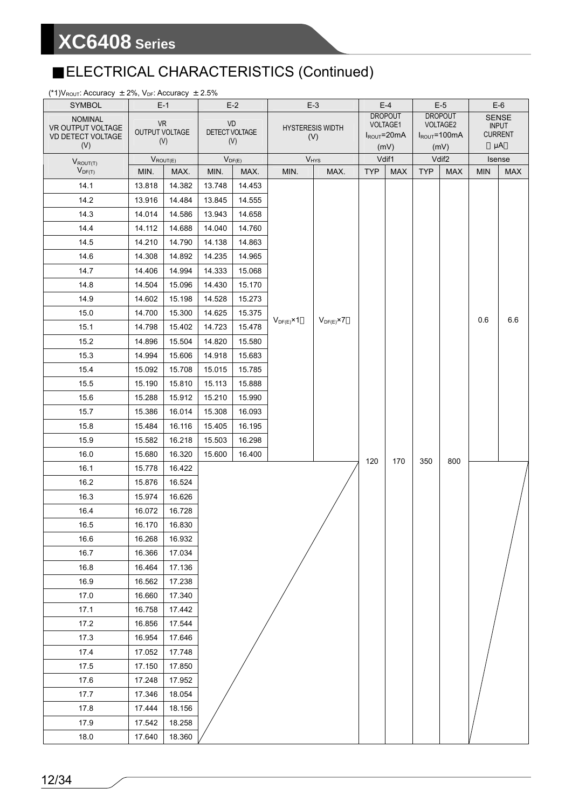### ELECTRICAL CHARACTERISTICS (Continued)

(\*1) $V_{\text{ROUT}}$ : Accuracy  $\pm 2\%$ ,  $V_{\text{DF}}$ : Accuracy  $\pm 2.5\%$ 

| <b>SYMBOL</b>                                 |                | $E-1$         |                | $E-2$       |                      | $E-3$                   |            | $E-4$                               |            | $E-5$                          |            | $E-6$                          |
|-----------------------------------------------|----------------|---------------|----------------|-------------|----------------------|-------------------------|------------|-------------------------------------|------------|--------------------------------|------------|--------------------------------|
| <b>NOMINAL</b>                                | <b>VR</b>      |               | VD             |             |                      |                         |            | <b>DROPOUT</b>                      |            | <b>DROPOUT</b>                 |            | <b>SENSE</b>                   |
| VR OUTPUT VOLTAGE<br><b>VD DETECT VOLTAGE</b> | OUTPUT VOLTAGE |               | DETECT VOLTAGE |             |                      | <b>HYSTERESIS WIDTH</b> |            | <b>VOLTAGE1</b><br>$I_{ROUT}$ =20mA |            | VOLTAGE2<br>$I_{ROUT} = 100mA$ |            | <b>INPUT</b><br><b>CURRENT</b> |
| (V)                                           |                | (V)           |                | (V)         |                      | (V)                     |            | (mV)                                |            | (mV)                           |            | μA                             |
| $V_{ROUT(T)}$                                 |                | $V_{ROUT(E)}$ |                | $V_{DF(E)}$ |                      | $V_{HYS}$               |            | Vdif1                               |            | Vdif <sub>2</sub>              |            | Isense                         |
| $V_{DF(T)}$                                   | MIN.           | MAX.          | MIN.           | MAX.        | MIN.                 | MAX.                    | <b>TYP</b> | <b>MAX</b>                          | <b>TYP</b> | <b>MAX</b>                     | <b>MIN</b> | <b>MAX</b>                     |
| 14.1                                          | 13.818         | 14.382        | 13.748         | 14.453      |                      |                         |            |                                     |            |                                |            |                                |
| 14.2                                          | 13.916         | 14.484        | 13.845         | 14.555      |                      |                         |            |                                     |            |                                |            |                                |
| 14.3                                          | 14.014         | 14.586        | 13.943         | 14.658      |                      |                         |            |                                     |            |                                |            |                                |
| 14.4                                          | 14.112         | 14.688        | 14.040         | 14.760      |                      |                         |            |                                     |            |                                |            |                                |
| 14.5                                          | 14.210         | 14.790        | 14.138         | 14.863      |                      |                         |            |                                     |            |                                |            |                                |
| 14.6                                          | 14.308         | 14.892        | 14.235         | 14.965      |                      |                         |            |                                     |            |                                |            |                                |
| 14.7                                          | 14.406         | 14.994        | 14.333         | 15.068      |                      |                         |            |                                     |            |                                |            |                                |
| 14.8                                          | 14.504         | 15.096        | 14.430         | 15.170      |                      |                         |            |                                     |            |                                |            |                                |
| 14.9                                          | 14.602         | 15.198        | 14.528         | 15.273      |                      |                         |            |                                     |            |                                |            |                                |
| 15.0                                          | 14.700         | 15.300        | 14.625         | 15.375      |                      |                         |            |                                     |            |                                | 0.6        | 6.6                            |
| 15.1                                          | 14.798         | 15.402        | 14.723         | 15.478      | $V_{DF(E)} \times 1$ | $V_{DF(E)}$ ×7          |            |                                     |            |                                |            |                                |
| 15.2                                          | 14.896         | 15.504        | 14.820         | 15.580      |                      |                         |            |                                     |            |                                |            |                                |
| 15.3                                          | 14.994         | 15.606        | 14.918         | 15.683      |                      |                         |            |                                     |            |                                |            |                                |
| 15.4                                          | 15.092         | 15.708        | 15.015         | 15.785      |                      |                         |            |                                     |            |                                |            |                                |
| 15.5                                          | 15.190         | 15.810        | 15.113         | 15.888      |                      |                         |            |                                     |            |                                |            |                                |
| 15.6                                          | 15.288         | 15.912        | 15.210         | 15.990      |                      |                         |            |                                     |            |                                |            |                                |
| 15.7                                          | 15.386         | 16.014        | 15.308         | 16.093      |                      |                         |            |                                     |            |                                |            |                                |
| 15.8                                          | 15.484         | 16.116        | 15.405         | 16.195      |                      |                         |            |                                     |            |                                |            |                                |
| 15.9                                          | 15.582         | 16.218        | 15.503         | 16.298      |                      |                         |            |                                     |            |                                |            |                                |
| 16.0                                          | 15.680         | 16.320        | 15.600         | 16.400      |                      |                         | 120        | 170                                 | 350        | 800                            |            |                                |
| 16.1                                          | 15.778         | 16.422        |                |             |                      |                         |            |                                     |            |                                |            |                                |
| 16.2                                          | 15.876         | 16.524        |                |             |                      |                         |            |                                     |            |                                |            |                                |
| 16.3                                          | 15.974         | 16.626        |                |             |                      |                         |            |                                     |            |                                |            |                                |
| 16.4                                          | 16.072         | 16.728        |                |             |                      |                         |            |                                     |            |                                |            |                                |
| 16.5                                          | 16.170         | 16.830        |                |             |                      |                         |            |                                     |            |                                |            |                                |
| 16.6                                          | 16.268         | 16.932        |                |             |                      |                         |            |                                     |            |                                |            |                                |
| 16.7                                          | 16.366         | 17.034        |                |             |                      |                         |            |                                     |            |                                |            |                                |
| 16.8                                          | 16.464         | 17.136        |                |             |                      |                         |            |                                     |            |                                |            |                                |
| 16.9                                          | 16.562         | 17.238        |                |             |                      |                         |            |                                     |            |                                |            |                                |
| 17.0                                          | 16.660         | 17.340        |                |             |                      |                         |            |                                     |            |                                |            |                                |
| 17.1                                          | 16.758         | 17.442        |                |             |                      |                         |            |                                     |            |                                |            |                                |
| 17.2                                          | 16.856         | 17.544        |                |             |                      |                         |            |                                     |            |                                |            |                                |
| 17.3                                          | 16.954         | 17.646        |                |             |                      |                         |            |                                     |            |                                |            |                                |
| 17.4                                          | 17.052         | 17.748        |                |             |                      |                         |            |                                     |            |                                |            |                                |
| 17.5                                          | 17.150         | 17.850        |                |             |                      |                         |            |                                     |            |                                |            |                                |
| 17.6                                          | 17.248         | 17.952        |                |             |                      |                         |            |                                     |            |                                |            |                                |
| 17.7                                          | 17.346         | 18.054        |                |             |                      |                         |            |                                     |            |                                |            |                                |
| 17.8                                          | 17.444         | 18.156        |                |             |                      |                         |            |                                     |            |                                |            |                                |
| 17.9                                          | 17.542         | 18.258        |                |             |                      |                         |            |                                     |            |                                |            |                                |
| 18.0                                          | 17.640         | 18.360        |                |             |                      |                         |            |                                     |            |                                |            |                                |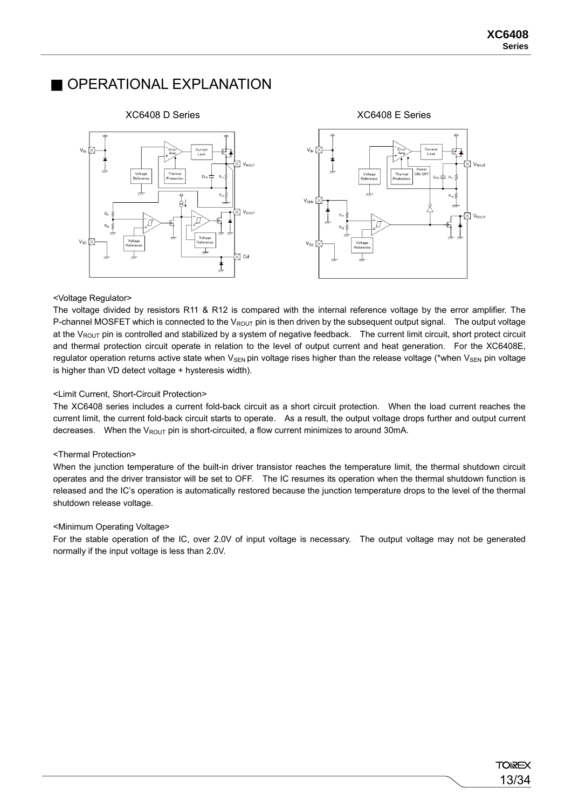#### OPERATIONAL EXPLANATION



#### <Voltage Regulator>

The voltage divided by resistors R11 & R12 is compared with the internal reference voltage by the error amplifier. The P-channel MOSFET which is connected to the  $V_{\text{ROUT}}$  pin is then driven by the subsequent output signal. The output voltage at the  $V_{\text{ROIIT}}$  pin is controlled and stabilized by a system of negative feedback. The current limit circuit, short protect circuit and thermal protection circuit operate in relation to the level of output current and heat generation. For the XC6408E, regulator operation returns active state when  $V_{\text{SEN}}$  pin voltage rises higher than the release voltage (\*when  $V_{\text{SEN}}$  pin voltage is higher than VD detect voltage + hysteresis width).

#### <Limit Current, Short-Circuit Protection>

The XC6408 series includes a current fold-back circuit as a short circuit protection. When the load current reaches the current limit, the current fold-back circuit starts to operate. As a result, the output voltage drops further and output current decreases. When the  $V_{\text{ROUT}}$  pin is short-circuited, a flow current minimizes to around 30mA.

#### <Thermal Protection>

When the junction temperature of the built-in driver transistor reaches the temperature limit, the thermal shutdown circuit operates and the driver transistor will be set to OFF. The IC resumes its operation when the thermal shutdown function is released and the IC's operation is automatically restored because the junction temperature drops to the level of the thermal shutdown release voltage.

#### <Minimum Operating Voltage>

For the stable operation of the IC, over 2.0V of input voltage is necessary. The output voltage may not be generated normally if the input voltage is less than 2.0V.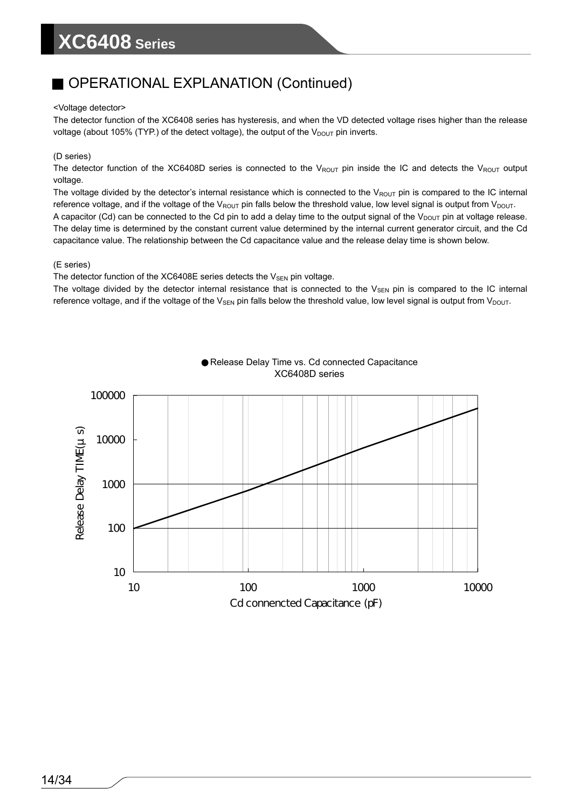#### OPERATIONAL EXPLANATION (Continued)

#### <Voltage detector>

The detector function of the XC6408 series has hysteresis, and when the VD detected voltage rises higher than the release voltage (about 105% (TYP.) of the detect voltage), the output of the  $V_{DOUT}$  pin inverts.

#### (D series)

The detector function of the XC6408D series is connected to the  $V_{\text{ROUT}}$  pin inside the IC and detects the  $V_{\text{ROUT}}$  output voltage.

The voltage divided by the detector's internal resistance which is connected to the VROUT pin is compared to the IC internal reference voltage, and if the voltage of the  $V_{ROUT}$  pin falls below the threshold value, low level signal is output from  $V_{DOUT}$ . A capacitor (Cd) can be connected to the Cd pin to add a delay time to the output signal of the  $V_{DOUT}$  pin at voltage release. The delay time is determined by the constant current value determined by the internal current generator circuit, and the Cd capacitance value. The relationship between the Cd capacitance value and the release delay time is shown below.

#### (E series)

The detector function of the XC6408E series detects the  $V_{SEN}$  pin voltage.

The voltage divided by the detector internal resistance that is connected to the  $V_{SEN}$  pin is compared to the IC internal reference voltage, and if the voltage of the  $V_{\text{SEN}}$  pin falls below the threshold value, low level signal is output from  $V_{\text{DOUT}}$ .



Release Delay Time vs. Cd connected Capacitance XC6408D series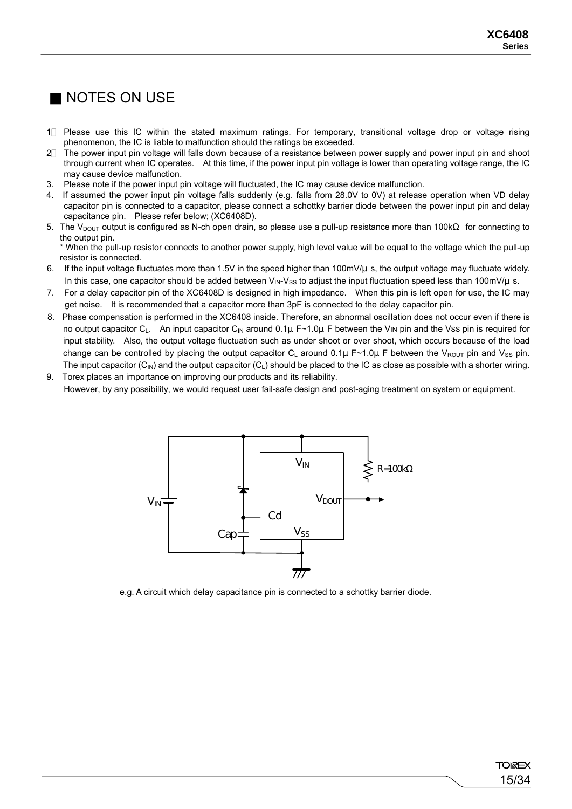### NOTES ON USE

- 1 Please use this IC within the stated maximum ratings. For temporary, transitional voltage drop or voltage rising phenomenon, the IC is liable to malfunction should the ratings be exceeded.
- 2 The power input pin voltage will falls down because of a resistance between power supply and power input pin and shoot through current when IC operates. At this time, if the power input pin voltage is lower than operating voltage range, the IC may cause device malfunction.
- 3. Please note if the power input pin voltage will fluctuated, the IC may cause device malfunction.
- 4. If assumed the power input pin voltage falls suddenly (e.g. falls from 28.0V to 0V) at release operation when VD delay capacitor pin is connected to a capacitor, please connect a schottky barrier diode between the power input pin and delay capacitance pin. Please refer below; (XC6408D).
- 5. The V<sub>DOUT</sub> output is configured as N-ch open drain, so please use a pull-up resistance more than 100 k for connecting to the output pin.

 \* When the pull-up resistor connects to another power supply, high level value will be equal to the voltage which the pull-up resistor is connected.

- 6. If the input voltage fluctuates more than 1.5V in the speed higher than 100mV/μs, the output voltage may fluctuate widely. In this case, one capacitor should be added between  $V_{\text{IN}}-V_{SS}$  to adjust the input fluctuation speed less than 100mV/ $\mu$  s.
- 7. For a delay capacitor pin of the XC6408D is designed in high impedance. When this pin is left open for use, the IC may get noise. It is recommended that a capacitor more than 3pF is connected to the delay capacitor pin.
- 8. Phase compensation is performed in the XC6408 inside. Therefore, an abnormal oscillation does not occur even if there is no output capacitor C<sub>L</sub>. An input capacitor C<sub>IN</sub> around 0.1µ F~1.0µ F between the V<sub>IN</sub> pin and the Vss pin is required for input stability. Also, the output voltage fluctuation such as under shoot or over shoot, which occurs because of the load change can be controlled by placing the output capacitor C<sub>L</sub> around 0.1u F~1.0u F between the V<sub>ROUT</sub> pin and V<sub>SS</sub> pin. The input capacitor  $(C_{IN})$  and the output capacitor  $(C_L)$  should be placed to the IC as close as possible with a shorter wiring.
- 9. Torex places an importance on improving our products and its reliability. However, by any possibility, we would request user fail-safe design and post-aging treatment on system or equipment.



e.g. A circuit which delay capacitance pin is connected to a schottky barrier diode.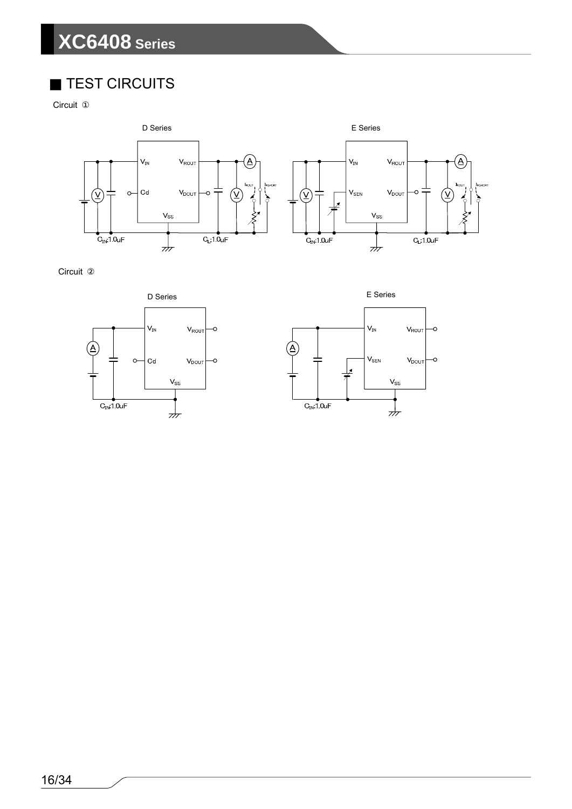#### TEST CIRCUITS

Circuit



Circuit



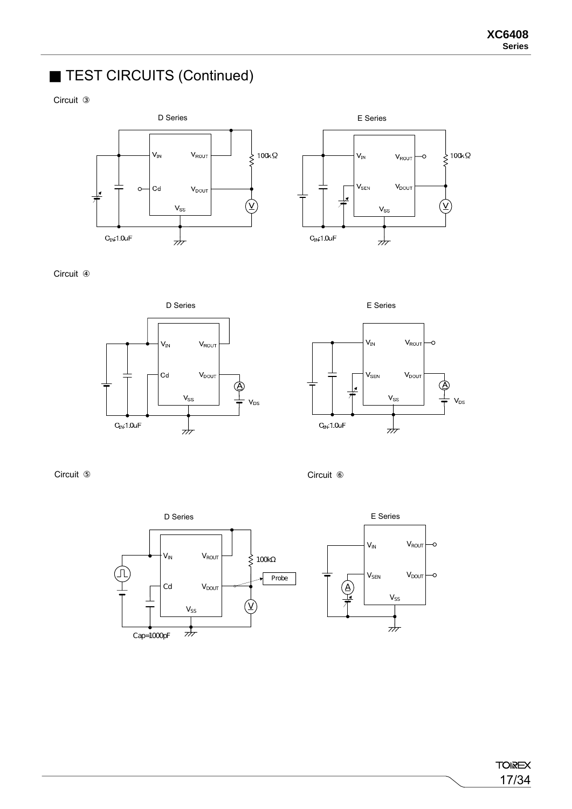### TEST CIRCUITS (Continued)

**Circuit** 





**Circuit** 







Circuit Circuit



**TOIREX** 17/34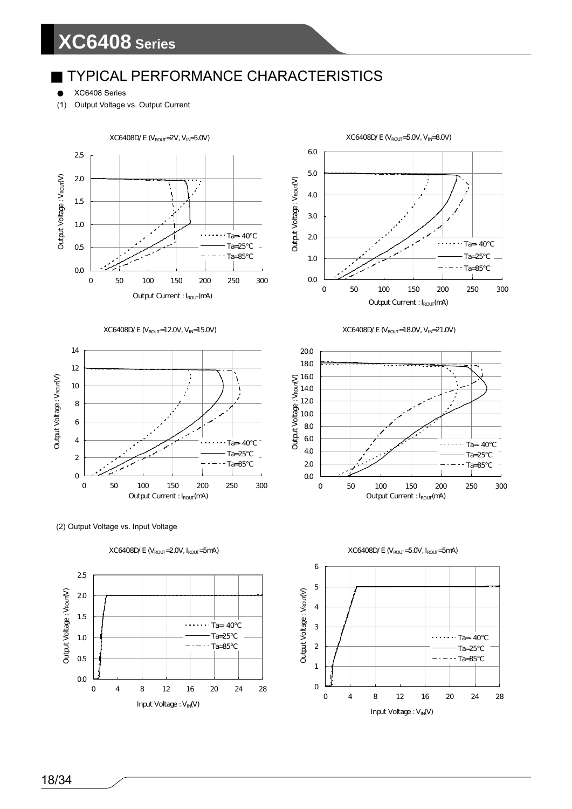#### TYPICAL PERFORMANCE CHARACTERISTICS

XC6408 Series

(1) Output Voltage vs. Output Current







(2) Output Voltage vs. Input Voltage













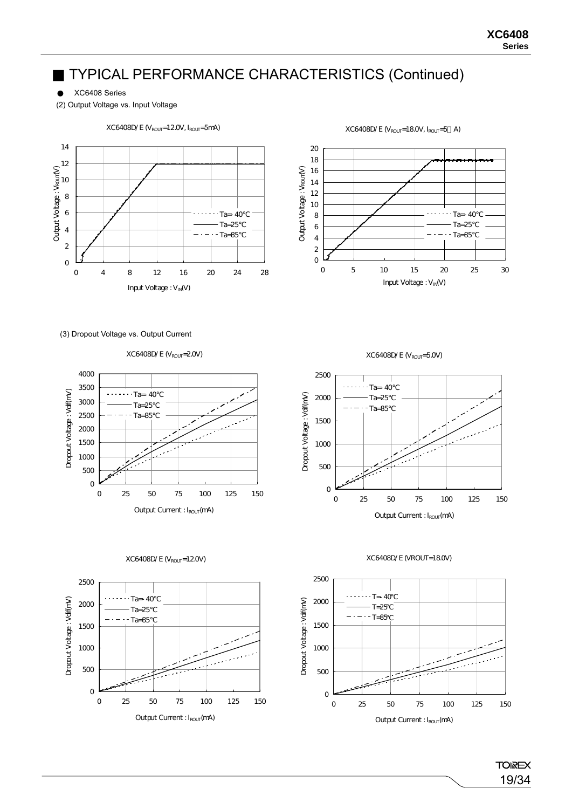XC6408 Series

(2) Output Voltage vs. Input Voltage



 $XC6408D/E$  ( $V_{ROUT}$ =12.0V,  $I_{ROUT}$ =5mA)

 $XC6408D/E (V_{ROUT}=18.0V, I_{ROUT}=5 A)$ 



(3) Dropout Voltage vs. Output Current

XC6408D/E (V<sub>ROUT</sub>=20V)







 $XC6408D/E$  ( $V_{ROUT}$ =5.0V)







19/34

**TOIREX**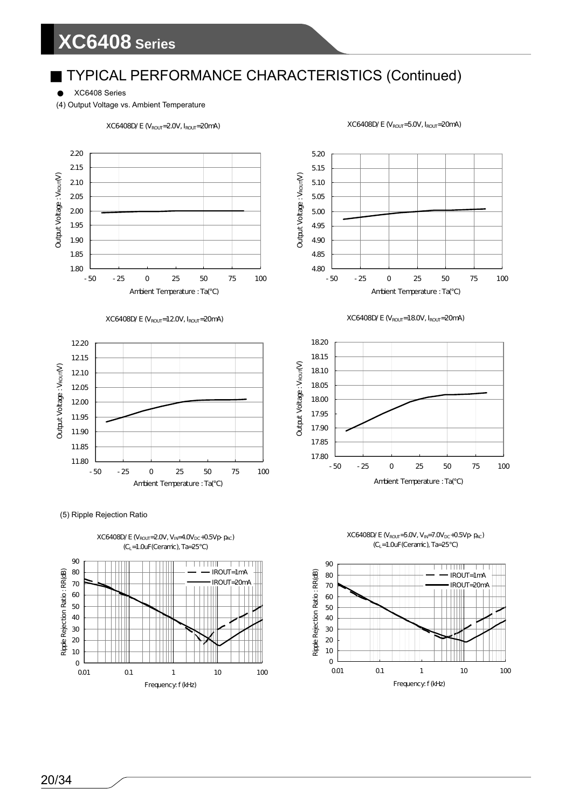### TYPICAL PERFORMANCE CHARACTERISTICS (Continued)

XC6408 Series

(4) Output Voltage vs. Ambient Temperature







(5) Ripple Rejection Ratio













90

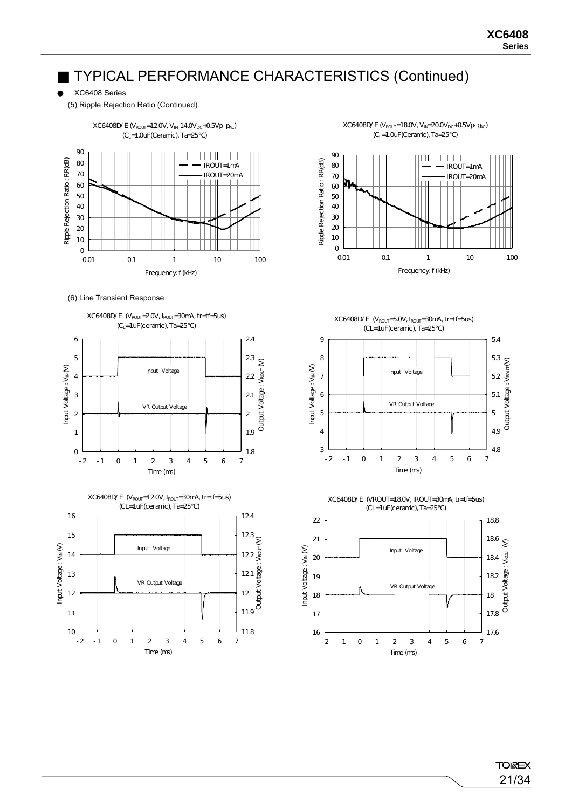XC6408 Series

(5) Ripple Rejection Ratio (Continued)



(6) Line Transient Response











-2 -1 0 1 2 3 4 5 6 7 Time (ms)

3



4.8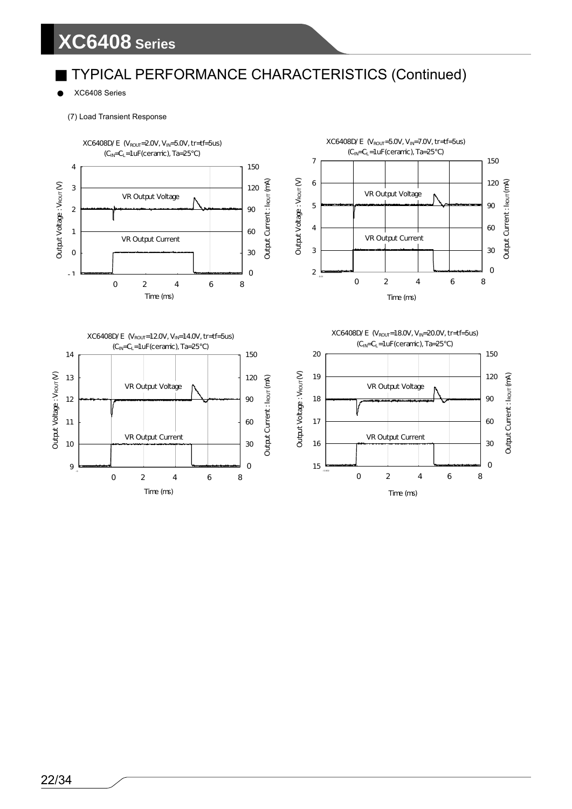### TYPICAL PERFORMANCE CHARACTERISTICS (Continued)

XC6408 Series

(7) Load Transient Response

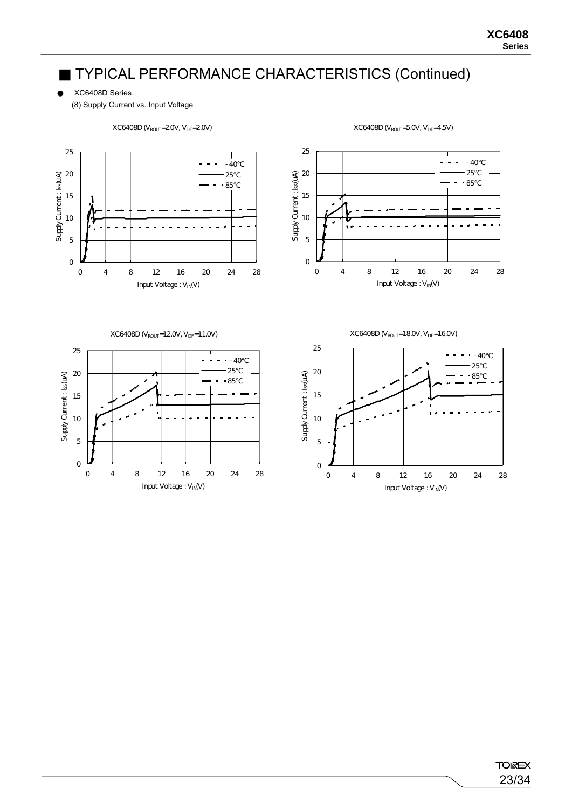(8) Supply Current vs. Input Voltage



 $XC6408D$  ( $V_{ROUT}$ =2.0V,  $V_{DF}$ =2.0V)

Input Voltage : VIN(V)

 $XC6408D (V_{ROUT} = 5.0V, V_{DF} = 4.5V)$ 

Input Voltage : VIN(V)

XC6408D Series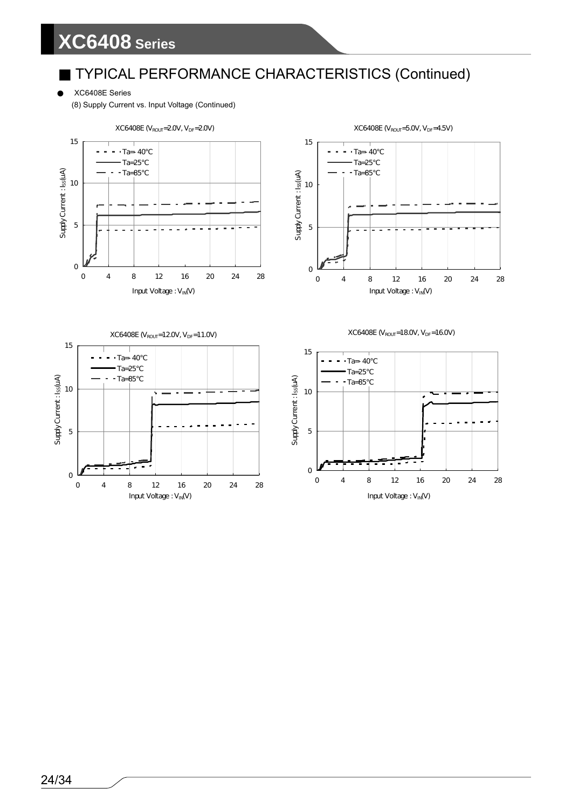XC6408E Series

(8) Supply Current vs. Input Voltage (Continued)

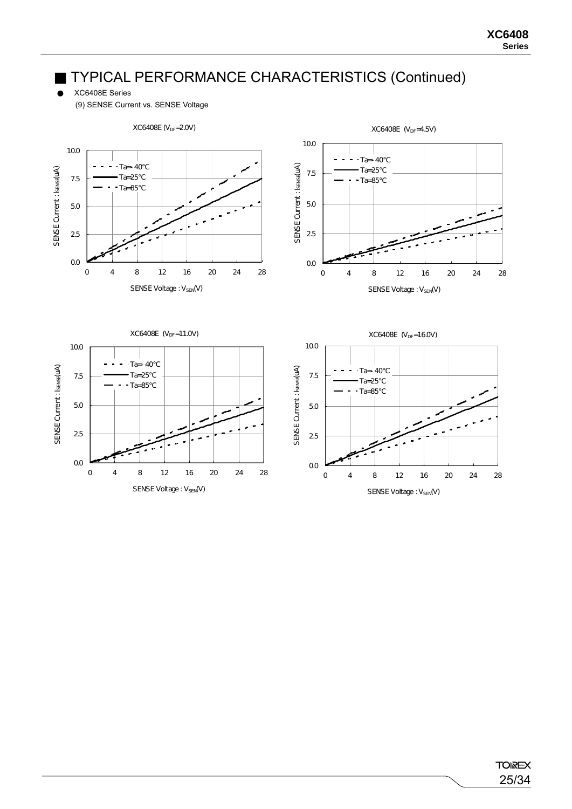XC6408E Series

(9) SENSE Current vs. SENSE Voltage

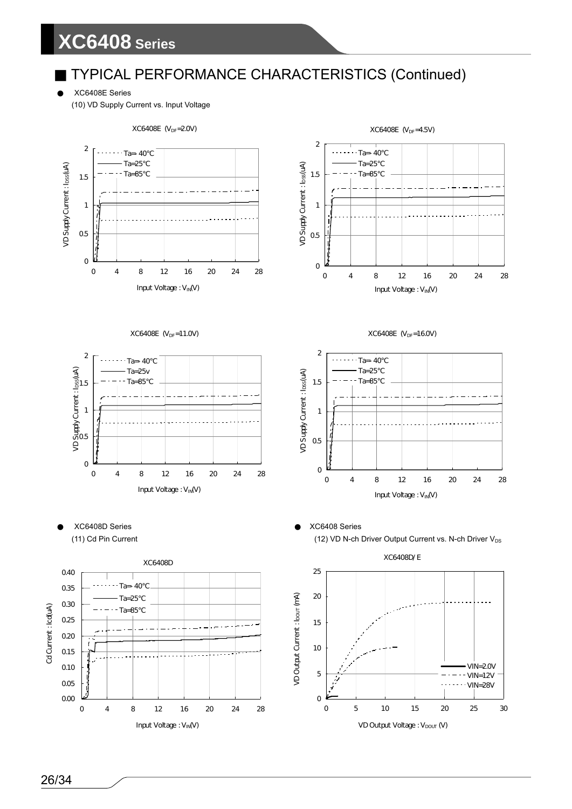XC6408E Series

(10) VD Supply Current vs. Input Voltage

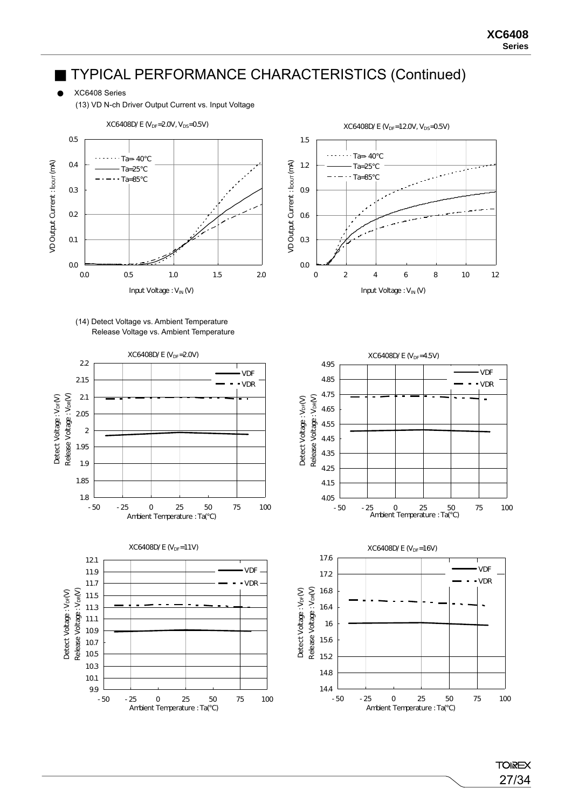XC6408 Series

(13) VD N-ch Driver Output Current vs. Input Voltage







 $XC6408D/E$  ( $V_{DF}=12.0V$ ,  $V_{DS}=0.5V$ ) 1.5 Ta=- 40 VD Output Current : loour (mA) VD Output Current : IDOUT (mA) 1.2  $Ta=25$  $-$ Ta=85 0.9 0.6 0.3 0.0 0 2 4 6 8 10 12 Input Voltage :  $V_{IN} (V)$ 

> **TOIREX** 27/34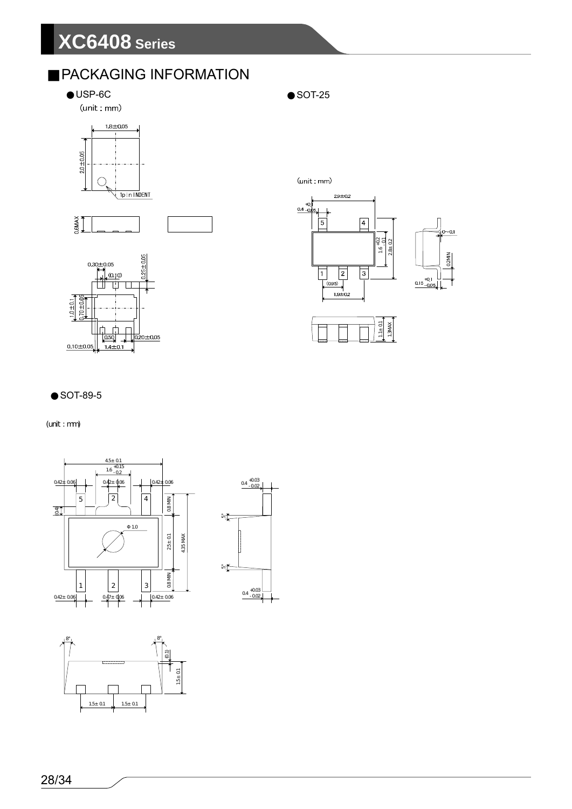### PACKAGING INFORMATION

USP-6C SOT-25

(unit:mm)







 $(unit : mm)$ 







#### SOT-89-5

(unit : mm)





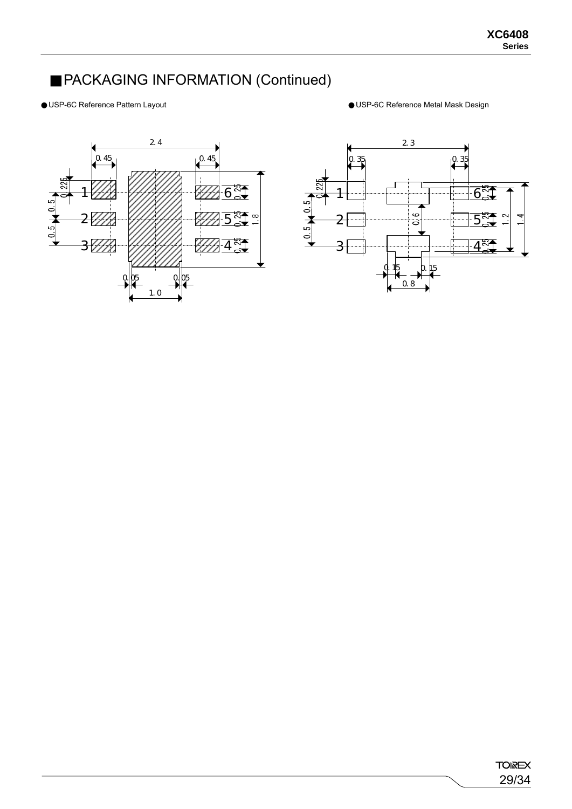### PACKAGING INFORMATION (Continued)

USP-6C Reference Pattern Layout USP-6C Reference Metal Mask Design



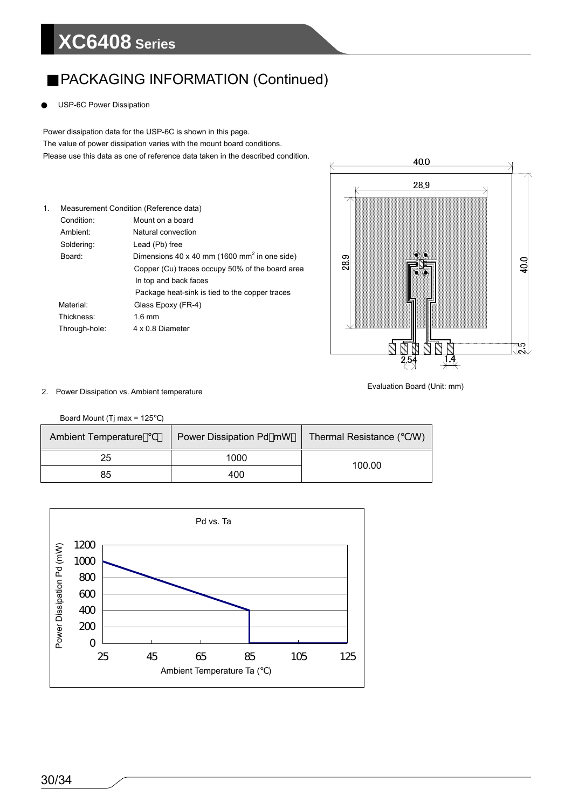### PACKAGING INFORMATION (Continued)

USP-6C Power Dissipation

 The value of power dissipation varies with the mount board conditions. Power dissipation data for the USP-6C is shown in this page. Please use this data as one of reference data taken in the described condition.

| 1. |                      | Measurement Condition (Reference data)                   |
|----|----------------------|----------------------------------------------------------|
|    | Condition:           | Mount on a board                                         |
|    | Ambient <sup>.</sup> | Natural convection                                       |
|    | Soldering:           | Lead (Pb) free                                           |
|    | Board:               | Dimensions 40 x 40 mm (1600 mm <sup>2</sup> in one side) |
|    |                      | Copper (Cu) traces occupy 50% of the board area          |
|    |                      | In top and back faces                                    |
|    |                      | Package heat-sink is tied to the copper traces           |
|    | Material:            | Glass Epoxy (FR-4)                                       |
|    | Thickness:           | $1.6 \text{ mm}$                                         |
|    | Through-hole:        | 4 x 0.8 Diameter                                         |



#### Evaluation Board (Unit: mm) 2. Power Dissipation vs. Ambient temperature

Board Mount (Tj max = 125 )

| <b>Ambient Temperature</b> | Power Dissipation Pd mW | Thermal Resistance (<br>/W) |  |  |
|----------------------------|-------------------------|-----------------------------|--|--|
| 25                         | 1000                    | 100.00                      |  |  |
| 85                         | 400                     |                             |  |  |

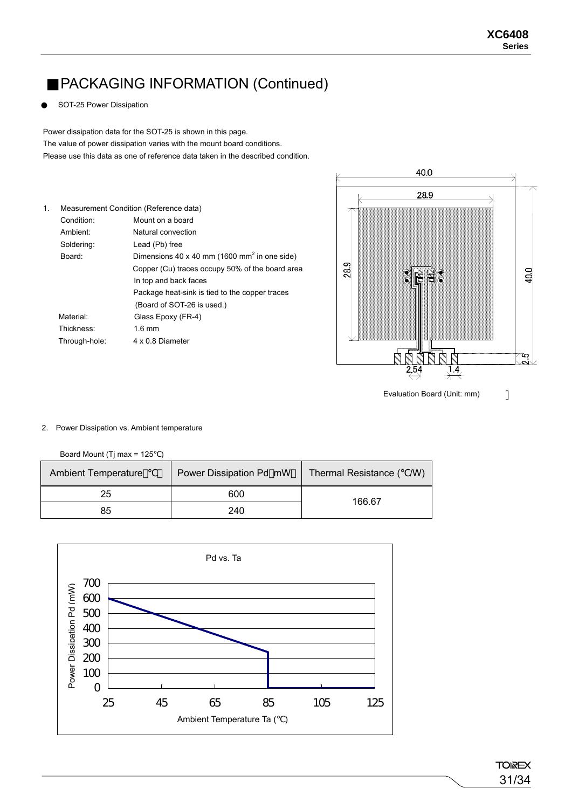### PACKAGING INFORMATION (Continued)

SOT-25 Power Dissipation

 The value of power dissipation varies with the mount board conditions. Power dissipation data for the SOT-25 is shown in this page. Please use this data as one of reference data taken in the described condition.

| Condition:           | Mount on a board                                         |
|----------------------|----------------------------------------------------------|
| Ambient <sup>.</sup> | Natural convection                                       |
| Soldering:           | Lead (Pb) free                                           |
| Board:               | Dimensions 40 x 40 mm (1600 mm <sup>2</sup> in one side) |
|                      | Copper (Cu) traces occupy 50% of the board area          |
|                      | In top and back faces                                    |
|                      | Package heat-sink is tied to the copper traces           |
|                      | (Board of SOT-26 is used.)                               |
| Material:            | Glass Epoxy (FR-4)                                       |
| Thickness:           | $1.6 \text{ mm}$                                         |
| Through-hole:        | 4 x 0 8 Diameter                                         |
|                      | Measurement Condition (Reference data)                   |



Evaluation Board (Unit: mm)

#### 2. Power Dissipation vs. Ambient temperature

Board Mount (Tj max = 125 )

| <b>Ambient Temperature</b> | Power Dissipation Pd mW | Thermal Resistance (<br>(W) |  |  |
|----------------------------|-------------------------|-----------------------------|--|--|
| 25                         | 600                     | 166.67                      |  |  |
| 85                         | 240                     |                             |  |  |

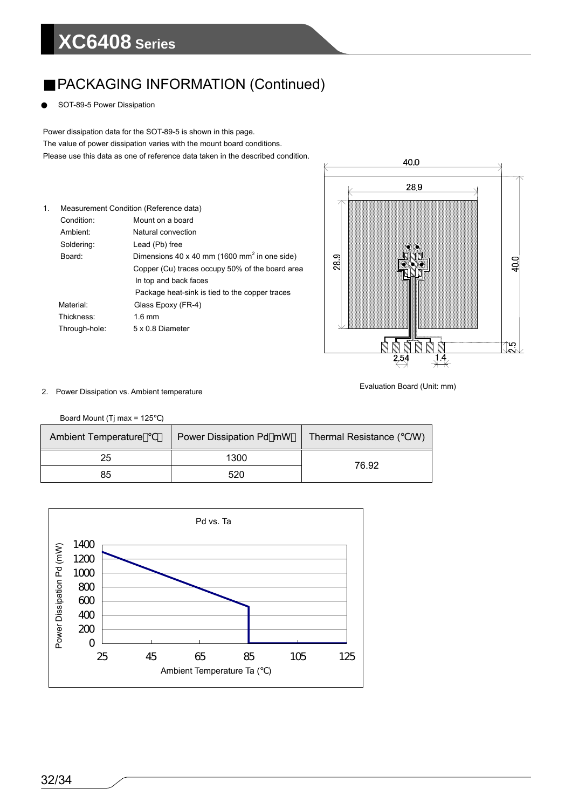### PACKAGING INFORMATION (Continued)

SOT-89-5 Power Dissipation

 The value of power dissipation varies with the mount board conditions. Power dissipation data for the SOT-89-5 is shown in this page. Please use this data as one of reference data taken in the described condition.

| $\mathbf{1}$ . |               | Measurement Condition (Reference data)                   |
|----------------|---------------|----------------------------------------------------------|
|                | Condition:    | Mount on a board                                         |
|                | Ambient:      | Natural convection                                       |
|                | Soldering:    | Lead (Pb) free                                           |
|                | Board:        | Dimensions 40 x 40 mm (1600 mm <sup>2</sup> in one side) |
|                |               | Copper (Cu) traces occupy 50% of the board area          |
|                |               | In top and back faces                                    |
|                |               | Package heat-sink is tied to the copper traces           |
|                | Material:     | Glass Epoxy (FR-4)                                       |
|                | Thickness:    | $1.6 \text{ mm}$                                         |
|                | Through-hole: | 5 x 0.8 Diameter                                         |



#### Evaluation Board (Unit: mm) 2. Power Dissipation vs. Ambient temperature

Board Mount (Tj max = 125 )

| <b>Ambient Temperature</b> | Power Dissipation Pd mW | Thermal Resistance (<br>(W) |
|----------------------------|-------------------------|-----------------------------|
| 25                         | 1300                    | 76.92                       |
| 85                         | 520                     |                             |

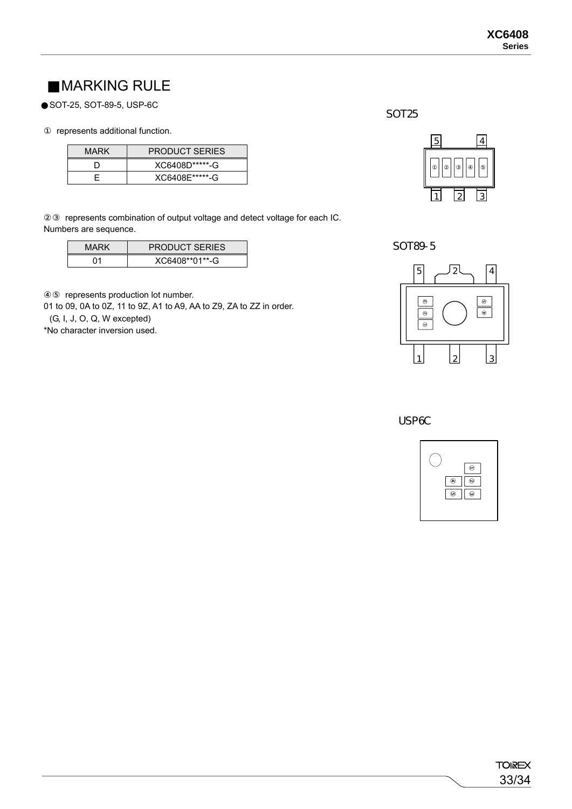### MARKING RULE

SOT-25, SOT-89-5, USP-6C

represents additional function.

| <b>MARK</b> | <b>PRODUCT SERIES</b> |
|-------------|-----------------------|
|             | XC6408D******-G       |
|             | XC6408E*****-G        |

represents combination of output voltage and detect voltage for each IC. Numbers are sequence.

| MARK | <b>PRODUCT SERIES</b> |
|------|-----------------------|
|      | XC6408**01**-G        |

represents production lot number.

01 to 09, 0A to 0Z, 11 to 9Z, A1 to A9, AA to Z9, ZA to ZZ in order.

(G, I, J, O, Q, W excepted)

\*No character inversion used.





SOT89-5



USP<sub>6C</sub>